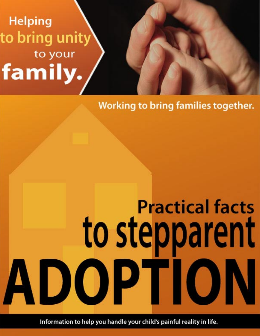# **Helping** to bring unity to your family.

# Working to bring families together.

# **Practical facts** to stepparent ADOPTION

Information to help you handle your child's painful reality in life.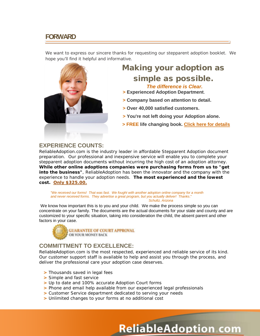# **FORWARD**

We want to express our sincere thanks for requesting our stepparent adoption booklet. We hope you'll find it helpful and informative.



## **EXPERIENCE COUNTS:**

ReliableAdoption.com is the industry leader in affordable Stepparent Adoption document preparation. Our professional and inexpensive service will enable you to complete your stepparent adoption documents without incurring the high cost of an adoption attorney. **While other online adoptions companies were purchasing forms from us to "get into the business"**, ReliableAdoption has been the innovator and the company with the experience to handle your adoption needs. **The most experienced and the lowest cost. Only \$325.00.**

 *"We received our forms! That was fast. We fought with another adoption online company for a month and never received forms. They advertise a great program, but you actually deliver! Thanks*."  *Schultz, Arizona*

We know how important this is to you and your child. We make the process simple so you can concentrate on your family. The documents are the actual documents for your state and county and are customized to your specific situation, taking into consideration the child, the absent parent and other factors in your case.



## **COMMITTMENT TO EXCELLENCE:**

ReliableAdoption.com is the most respected, experienced and reliable service of its kind. Our customer support staff is available to help and assist you through the process, and deliver the professional care your adoption case deserves.

- **>** Thousands saved in legal fees
- **>** Simple and fast service
- **>** Up to date and 100% accurate Adoption Court forms
- **>** Phone and email help available from our experienced legal professionals
- **>** Customer Service department dedicated to serving your needs
- **>** Unlimited changes to your forms at no additional cost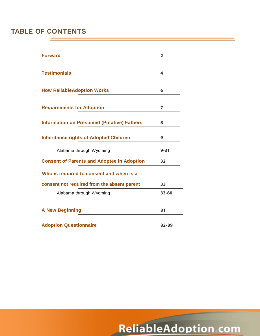# **TABLE OF CONTENTS**

| <b>Forward</b>                                    | $\overline{2}$ |
|---------------------------------------------------|----------------|
|                                                   |                |
| <b>Testimonials</b>                               | 4              |
|                                                   |                |
| <b>How ReliableAdoption Works</b>                 | 6              |
|                                                   |                |
| <b>Requirements for Adoption</b>                  | 7              |
|                                                   |                |
| <b>Information on Presumed (Putative) Fathers</b> | 8              |
|                                                   |                |
| <b>Inheritance rights of Adopted Children</b>     | 9              |
| Alabama through Wyoming                           | $9 - 31$       |
| <b>Consent of Parents and Adoptee in Adoption</b> | 32             |
| Who is required to consent and when is a          |                |
| consent not required from the absent parent       | 33             |
| Alabama through Wyoming                           | 33-80          |
|                                                   |                |
|                                                   | 81             |
| <b>A New Beginning</b>                            |                |
| <b>Adoption Questionnaire</b>                     | 82-89          |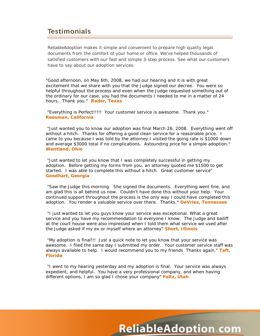# **Testimonials**

ReliableAdoption makes it simple and convenient to prepare high quality legal documents from the comfort of your home or office. We've helped thousands of satisfied customers with our fast and simple 3-step process. See what our customers have to say about our adoption services:

"Good afternoon, on May 6th, 2008, we had our hearing and it is with great excitement that we share with you that the Judge signed our decree. You were so helpful throughout the process and even when the Judge requested something out of the ordinary for our case, you had the documents I needed to me in a matter of 24 hours. Thank you." **Rader, Texas**

"Everything is Perfect!!!!! Your customer service is awesome. Thank you." **Reesman, California**

"Just wanted you to know our adoption was final March 26, 2008. Everything went off without a hitch. Thanks for offering a good clean service for a reasonable price. I came to you because I was told by the attorney I visited the going rate is \$1000 down and average \$3000 total if no complications. Astounding price for a simple adoption." **Wentland, Ohio**

"Just wanted to let you know that I was completely successful in getting my adoption. Before getting my forms from you, an attorney quoted me \$1500 to get started. I was able to complete this without a hitch. Great customer service" **Goodhart, Georgia**

"Saw the Judge this morning. She signed the documents. Everything went fine, and am glad this is all behind us now. Couldn't have done this without your help. Your continued support throughout the process is the only way I could have completed this adoption. You render a valuable service over there. Thanks." **DeVries, Tennessee**

"I just wanted to let you guys know your service was exceptional. What a great service and you have my recommendation to everyone I know. The Judge and bailiff at the court house were also impressed when I told them what service we used after the Judge asked if my ex or myself where an attorney" **Short, Illinois**

"My adoption is final!!! Just a quick note to let you know that your service was awesome. I filed the same day I submitted my order. Your customer service staff was always available to help. I would recommend you to my friends Thanks again." **Taft, Florida**

"I went to my hearing yesterday and my adoption is final. Your service was always expedient, and helpful. You have a very professional company, and when having different options, I am so glad I chose your company" **Foltz, Utah**

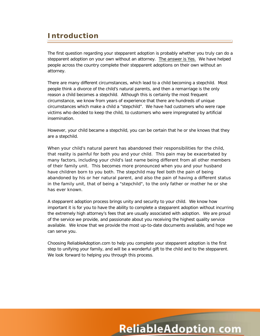# **Introduction**

The first question regarding your stepparent adoption is probably whether you truly can do a stepparent adoption on your own without an attorney. The answer is Yes. We have helped people across the country complete their stepparent adoptions on their own without an attorney.

There are many different circumstances, which lead to a child becoming a stepchild. Most people think a divorce of the child's natural parents, and then a remarriage is the only reason a child becomes a stepchild. Although this is certainly the most frequent circumstance, we know from years of experience that there are hundreds of unique circumstances which make a child a "stepchild". We have had customers who were rape victims who decided to keep the child, to customers who were impregnated by artificial insemination.

However, your child became a stepchild, you can be certain that he or she knows that they are a stepchild.

When your child's natural parent has abandoned their responsibilities for the child, that reality is painful for both you and your child. This pain may be exacerbated by many factors, including your child's last name being different from all other members of their family unit. This becomes more pronounced when you and your husband have children born to you both. The stepchild may feel both the pain of being abandoned by his or her natural parent, and also the pain of having a different status in the family unit, that of being a "stepchild", to the only father or mother he or she has ever known.

A stepparent adoption process brings unity and security to your child. We know how important it is for you to have the ability to complete a stepparent adoption without incurring the extremely high attorney's fees that are usually associated with adoption. We are proud of the service we provide, and passionate about you receiving the highest quality service available. We know that we provide the most up-to-date documents available, and hope we can serve you.

Choosing ReliableAdoption.com to help you complete your stepparent adoption is the first step to unifying your family, and will be a wonderful gift to the child and to the stepparent. We look forward to helping you through this process.

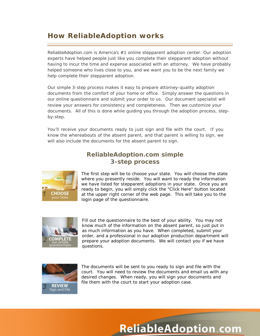# **How ReliableAdoption works**

ReliableAdoption.com is America's #1 online stepparent adoption center. Our adoption experts have helped people just like you complete their stepparent adoption without having to incur the time and expense associated with an attorney. We have probably helped someone who lives close to you, and we want you to be the next family we help complete their stepparent adoption.

Our simple 3-step process makes it easy to prepare attorney-quality adoption documents from the comfort of your home or office. Simply answer the questions in our online questionnaire and submit your order to us. Our document specialist will review your answers for consistency and completeness. Then we customize your documents. All of this is done while guiding you through the adoption process, stepby-step.

You'll receive your documents ready to just sign and file with the court. If you know the whereabouts of the absent parent, and that parent is willing to sign, we will also include the documents for the absent parent to sign.

## **ReliableAdoption.com simple 3-step process**



The first step will be to choose your state. You will choose the state where you presently reside. You will want to ready the information we have listed for stepparent adoptions in your state. Once you are ready to begin, you will simply click the "Click Here" button located at the upper right corner of the web page. This will take you to the login page of the questionnaire.



Fill out the questionnaire to the best of your ability. You may not know much of the information on the absent parent, so just put in as much information as you have. When completed, submit your order, and a professional in our adoption production department will prepare your adoption documents. We will contact you if we have questions.



The documents will be sent to you ready to sign and file with the court. You will need to review the documents and email us with any desired changes. When ready, you will sign your documents and file them with the court to start your adoption case.

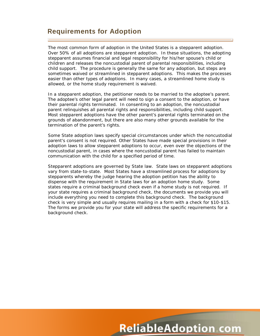# **Requirements for Adoption**

The most common form of adoption in the United States is a stepparent adoption. Over 50% of all adoptions are stepparent adoption. In these situations, the adopting stepparent assumes financial and legal responsibility for his/her spouse's child or children and releases the noncustodial parent of parental responsibilities, including child support. The procedure is generally the same for any adoption, but steps are sometimes waived or streamlined in stepparent adoptions. This makes the processes easier than other types of adoptions. In many cases, a streamlined home study is allowed, or the home study requirement is waived.

In a stepparent adoption, the petitioner needs to be married to the adoptee's parent. The adoptee's other legal parent will need to sign a consent to the adoption, or have their parental rights terminated. In consenting to an adoption, the noncustodial parent relinquishes all parental rights and responsibilities, including child support. Most stepparent adoptions have the other parent's parental rights terminated on the grounds of abandonment, but there are also many other grounds available for the termination of the parent's rights.

Some State adoption laws specify special circumstances under which the noncustodial parent's consent is not required. Other States have made special provisions in their adoption laws to allow stepparent adoptions to occur, even over the objections of the noncustodial parent, in cases where the noncustodial parent has failed to maintain communication with the child for a specified period of time.

Stepparent adoptions are governed by State law. State laws on stepparent adoptions vary from state-to-state. Most States have a streamlined process for adoptions by stepparents whereby the judge hearing the adoption petition has the ability to dispense with the requirement in State laws for an adoption home study. Some states require a criminal background check even if a home study is not required. If your state requires a criminal background check, the documents we provide you will include everything you need to complete this background check. The background check is very simple and usually requires mailing in a form with a check for \$10-\$15. The forms we provide you for your state will address the specific requirements for a background check.

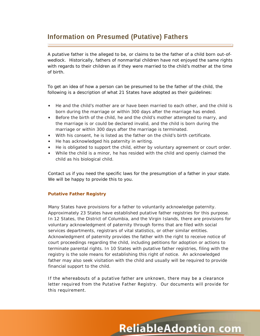# **Information on Presumed (Putative) Fathers**

A putative father is the alleged to be, or claims to be the father of a child born out-ofwedlock. Historically, fathers of nonmarital children have not enjoyed the same rights with regards to their children as if they were married to the child's mother at the time of birth.

To get an idea of how a person can be presumed to be the father of the child, the following is a description of what 21 States have adopted as their guidelines:

- He and the child's mother are or have been married to each other, and the child is born during the marriage or within 300 days after the marriage has ended.
- Before the birth of the child, he and the child's mother attempted to marry, and the marriage is or could be declared invalid, and the child is born during the marriage or within 300 days after the marriage is terminated.
- With his consent, he is listed as the father on the child's birth certificate.
- He has acknowledged his paternity in writing.
- He is obligated to support the child, either by voluntary agreement or court order.
- While the child is a minor, he has resided with the child and openly claimed the child as his biological child.

Contact us if you need the specific laws for the presumption of a father in your state. We will be happy to provide this to you.

#### **Putative Father Registry**

Many States have provisions for a father to voluntarily acknowledge paternity. Approximately 23 States have established putative father registries for this purpose. In 12 States, the District of Columbia, and the Virgin Islands, there are provisions for voluntary acknowledgment of paternity through forms that are filed with social services departments, registrars of vital statistics, or other similar entities. Acknowledgment of paternity provides the father with the right to receive notice of court proceedings regarding the child, including petitions for adoption or actions to terminate parental rights. In 10 States with putative father registries, filing with the registry is the sole means for establishing this right of notice. An acknowledged father may also seek visitation with the child and usually will be required to provide financial support to the child.

If the whereabouts of a putative father are unknown, there may be a clearance letter required from the Putative Father Registry. Our documents will provide for this requirement.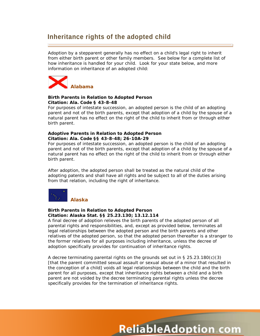# **Inheritance rights of the adopted child**

Adoption by a stepparent generally has no effect on a child's legal right to inherit from either birth parent or other family members. See below for a complete list of how inheritance is handled for your child. Look for your state below, and more information on inheritance of an adopted child:



#### **Birth Parents in Relation to Adopted Person Citation: Ala. Code § 43-8-48**

For purposes of intestate succession, an adopted person is the child of an adopting parent and not of the birth parents, except that adoption of a child by the spouse of a natural parent has no effect on the right of the child to inherit from or through either birth parent.

#### **Adoptive Parents in Relation to Adopted Person Citation: Ala. Code §§ 43-8-48; 26-10A-29**

For purposes of intestate succession, an adopted person is the child of an adopting parent and not of the birth parents, except that adoption of a child by the spouse of a natural parent has no effect on the right of the child to inherit from or through either birth parent.

After adoption, the adopted person shall be treated as the natural child of the adopting patents and shall have all rights and be subject to all of the duties arising from that relation, including the right of inheritance.



#### **Birth Parents in Relation to Adopted Person Citation: Alaska Stat. §§ 25.23.130; 13.12.114**

A final decree of adoption relieves the birth parents of the adopted person of all parental rights and responsibilities, and, except as provided below, terminates all legal relationships between the adopted person and the birth parents and other relatives of the adopted person, so that the adopted person thereafter is a stranger to the former relatives for all purposes including inheritance, unless the decree of adoption specifically provides for continuation of inheritance rights.

A decree terminating parental rights on the grounds set out in  $\S 25.23.180(c)(3)$ [that the parent committed sexual assault or sexual abuse of a minor that resulted in the conception of a child] voids all legal relationships between the child and the birth parent for all purposes, except that inheritance rights between a child and a birth parent are not voided by the decree terminating parental rights unless the decree specifically provides for the termination of inheritance rights.

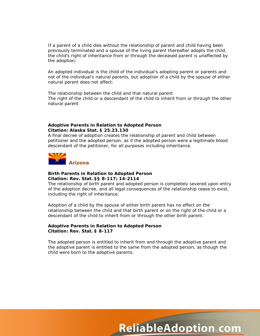If a parent of a child dies without the relationship of parent and child having been previously terminated and a spouse of the living parent thereafter adopts the child, the child's right of inheritance from or through the deceased parent is unaffected by the adoption.

An adopted individual is the child of the individual's adopting parent or parents and not of the individual's natural parents, but adoption of a child by the spouse of either natural parent does not affect:

The relationship between the child and that natural parent The right of the child or a descendant of the child to inherit from or through the other natural parent

#### **Adoptive Parents in Relation to Adopted Person Citation: Alaska Stat. § 25.23.130**

A final decree of adoption creates the relationship of parent and child between petitioner and the adopted person, as if the adopted person were a legitimate blood descendant of the petitioner, for all purposes including inheritance.



#### **Birth Parents in Relation to Adopted Person Citation: Rev. Stat. §§ 8-117; 14-2114**

The relationship of birth parent and adopted person is completely severed upon entry of the adoption decree, and all legal consequences of the relationship cease to exist, including the right of inheritance.

Adoption of a child by the spouse of either birth parent has no effect on the relationship between the child and that birth parent or on the right of the child or a descendant of the child to inherit from or through the other birth parent.

#### **Adoptive Parents in Relation to Adopted Person Citation: Rev. Stat. § 8-117**

The adopted person is entitled to inherit from and through the adoptive parent and the adoptive parent is entitled to the same from the adopted person, as though the child were born to the adoptive parents.

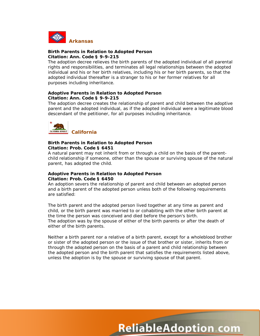

#### **Birth Parents in Relation to Adopted Person Citation: Ann. Code § 9-9-215**

The adoption decree relieves the birth parents of the adopted individual of all parental rights and responsibilities, and terminates all legal relationships between the adopted individual and his or her birth relatives, including his or her birth parents, so that the adopted individual thereafter is a stranger to his or her former relatives for all purposes including inheritance.

#### **Adoptive Parents in Relation to Adopted Person Citation: Ann. Code § 9-9-215**

The adoption decree creates the relationship of parent and child between the adoptive parent and the adopted individual, as if the adopted individual were a legitimate blood descendant of the petitioner, for all purposes including inheritance.



#### **Birth Parents in Relation to Adopted Person Citation: Prob. Code § 6451**

A natural parent may not inherit from or through a child on the basis of the parentchild relationship if someone, other than the spouse or surviving spouse of the natural parent, has adopted the child.

#### **Adoptive Parents in Relation to Adopted Person Citation: Prob. Code § 6450**

An adoption severs the relationship of parent and child between an adopted person and a birth parent of the adopted person unless both of the following requirements are satisfied:

The birth parent and the adopted person lived together at any time as parent and child, or the birth parent was married to or cohabiting with the other birth parent at the time the person was conceived and died before the person's birth. The adoption was by the spouse of either of the birth parents or after the death of either of the birth parents.

Neither a birth parent nor a relative of a birth parent, except for a wholeblood brother or sister of the adopted person or the issue of that brother or sister, inherits from or through the adopted person on the basis of a parent and child relationship between the adopted person and the birth parent that satisfies the requirements listed above, unless the adoption is by the spouse or surviving spouse of that parent.

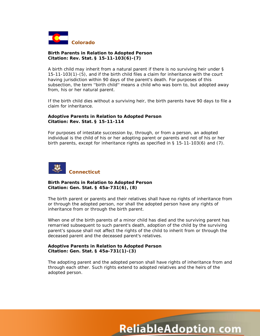

#### **Birth Parents in Relation to Adopted Person Citation: Rev. Stat. § 15-11-103(6)-(7)**

A birth child may inherit from a natural parent if there is no surviving heir under § 15-11-103(1)-(5), and if the birth child files a claim for inheritance with the court having jurisdiction within 90 days of the parent's death. For purposes of this subsection, the term ''birth child'' means a child who was born to, but adopted away from, his or her natural parent.

If the birth child dies without a surviving heir, the birth parents have 90 days to file a claim for inheritance.

#### **Adoptive Parents in Relation to Adopted Person Citation: Rev. Stat. § 15-11-114**

For purposes of intestate succession by, through, or from a person, an adopted individual is the child of his or her adopting parent or parents and not of his or her birth parents, except for inheritance rights as specified in § 15-11-103(6) and (7).



#### **Birth Parents in Relation to Adopted Person Citation: Gen. Stat. § 45a-731(6), (8)**

The birth parent or parents and their relatives shall have no rights of inheritance from or through the adopted person, nor shall the adopted person have any rights of inheritance from or through the birth parent.

When one of the birth parents of a minor child has died and the surviving parent has remarried subsequent to such parent's death, adoption of the child by the surviving parent's spouse shall not affect the rights of the child to inherit from or through the deceased parent and the deceased parent's relatives.

#### **Adoptive Parents in Relation to Adopted Person Citation: Gen. Stat. § 45a-731(1)-(3)**

The adopting parent and the adopted person shall have rights of inheritance from and through each other. Such rights extend to adopted relatives and the heirs of the adopted person.

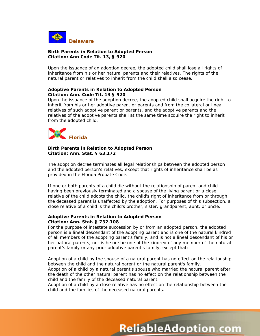

#### **Birth Parents in Relation to Adopted Person Citation: Ann Code Tit. 13, § 920**

Upon the issuance of an adoption decree, the adopted child shall lose all rights of inheritance from his or her natural parents and their relatives. The rights of the natural parent or relatives to inherit from the child shall also cease.

#### **Adoptive Parents in Relation to Adopted Person Citation: Ann. Code Tit. 13 § 920**

Upon the issuance of the adoption decree, the adopted child shall acquire the right to inherit from his or her adoptive parent or parents and from the collateral or lineal relatives of such adoptive parent or parents, and the adoptive parents and the relatives of the adoptive parents shall at the same time acquire the right to inherit from the adopted child.



#### **Birth Parents in Relation to Adopted Person Citation: Ann. Stat. § 63.172**

The adoption decree terminates all legal relationships between the adopted person and the adopted person's relatives, except that rights of inheritance shall be as provided in the Florida Probate Code.

If one or both parents of a child die without the relationship of parent and child having been previously terminated and a spouse of the living parent or a close relative of the child adopts the child, the child's right of inheritance from or through the deceased parent is unaffected by the adoption. For purposes of this subsection, a close relative of a child is the child's brother, sister, grandparent, aunt, or uncle.

#### **Adoptive Parents in Relation to Adopted Person Citation: Ann. Stat. § 732.108**

For the purpose of intestate succession by or from an adopted person, the adopted person is a lineal descendant of the adopting parent and is one of the natural kindred of all members of the adopting parent's family, and is not a lineal descendant of his or her natural parents, nor is he or she one of the kindred of any member of the natural parent's family or any prior adoptive parent's family, except that:

Adoption of a child by the spouse of a natural parent has no effect on the relationship between the child and the natural parent or the natural parent's family. Adoption of a child by a natural parent's spouse who married the natural parent after the death of the other natural parent has no effect on the relationship between the child and the family of the deceased natural parent.

Adoption of a child by a close relative has no effect on the relationship between the child and the families of the deceased natural parents.

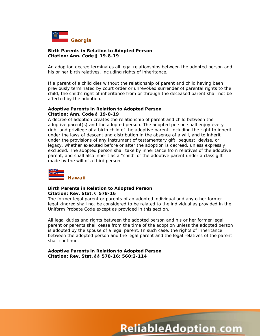

#### **Birth Parents in Relation to Adopted Person Citation: Ann. Code § 19-8-19**

An adoption decree terminates all legal relationships between the adopted person and his or her birth relatives, including rights of inheritance.

If a parent of a child dies without the relationship of parent and child having been previously terminated by court order or unrevoked surrender of parental rights to the child, the child's right of inheritance from or through the deceased parent shall not be affected by the adoption.

#### **Adoptive Parents in Relation to Adopted Person Citation: Ann. Code § 19-8-19**

A decree of adoption creates the relationship of parent and child between the adoptive parent(s) and the adopted person. The adopted person shall enjoy every right and privilege of a birth child of the adoptive parent, including the right to inherit under the laws of descent and distribution in the absence of a will, and to inherit under the provisions of any instrument of testamentary gift, bequest, devise, or legacy, whether executed before or after the adoption is decreed, unless expressly excluded. The adopted person shall take by inheritance from relatives of the adoptive parent, and shall also inherit as a ''child'' of the adoptive parent under a class gift made by the will of a third person.



#### **Birth Parents in Relation to Adopted Person Citation: Rev. Stat. § 578-16**

The former legal parent or parents of an adopted individual and any other former legal kindred shall not be considered to be related to the individual as provided in the Uniform Probate Code except as provided in this section.

All legal duties and rights between the adopted person and his or her former legal parent or parents shall cease from the time of the adoption unless the adopted person is adopted by the spouse of a legal parent. In such case, the rights of inheritance between the adopted person and the legal parent and the legal relatives of the parent shall continue.

**Adoptive Parents in Relation to Adopted Person Citation: Rev. Stat. §§ 578-16; 560:2-114**

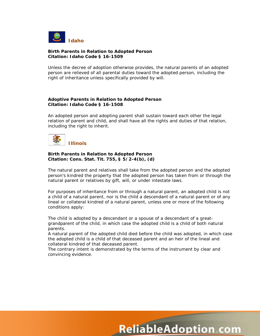

#### **Birth Parents in Relation to Adopted Person Citation: Idaho Code § 16-1509**

Unless the decree of adoption otherwise provides, the natural parents of an adopted person are relieved of all parental duties toward the adopted person, including the right of inheritance unless specifically provided by will.

#### **Adoptive Parents in Relation to Adopted Person Citation: Idaho Code § 16-1508**

An adopted person and adopting parent shall sustain toward each other the legal relation of parent and child, and shall have all the rights and duties of that relation, including the right to inherit.



#### **Birth Parents in Relation to Adopted Person Citation: Cons. Stat. Tit. 755, § 5/2-4(b), (d)**

The natural parent and relatives shall take from the adopted person and the adopted person's kindred the property that the adopted person has taken from or through the natural parent or relatives by gift, will, or under intestate laws.

For purposes of inheritance from or through a natural parent, an adopted child is not a child of a natural parent, nor is the child a descendant of a natural parent or of any lineal or collateral kindred of a natural parent, unless one or more of the following conditions apply:

The child is adopted by a descendant or a spouse of a descendant of a greatgrandparent of the child, in which case the adopted child is a child of both natural parents.

A natural parent of the adopted child died before the child was adopted, in which case the adopted child is a child of that deceased parent and an heir of the lineal and collateral kindred of that deceased parent.

The contrary intent is demonstrated by the terms of the instrument by clear and convincing evidence.

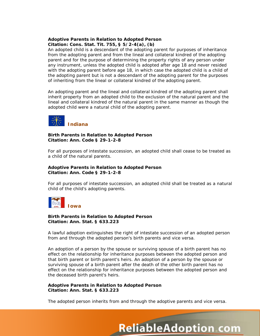#### **Adoptive Parents in Relation to Adopted Person Citation: Cons. Stat. Tit. 755, § 5/2-4(a), (b)**

An adopted child is a descendant of the adopting parent for purposes of inheritance from the adopting parent and from the lineal and collateral kindred of the adopting parent and for the purpose of determining the property rights of any person under any instrument, unless the adopted child is adopted after age 18 and never resided with the adopting parent before age 18, in which case the adopted child is a child of the adopting parent but is not a descendant of the adopting parent for the purposes of inheriting from the lineal or collateral kindred of the adopting parent.

An adopting parent and the lineal and collateral kindred of the adopting parent shall inherit property from an adopted child to the exclusion of the natural parent and the lineal and collateral kindred of the natural parent in the same manner as though the adopted child were a natural child of the adopting parent.



#### **Birth Parents in Relation to Adopted Person Citation: Ann. Code § 29-1-2-8**

For all purposes of intestate succession, an adopted child shall cease to be treated as a child of the natural parents.

#### **Adoptive Parents in Relation to Adopted Person Citation: Ann. Code § 29-1-2-8**

For all purposes of intestate succession, an adopted child shall be treated as a natural child of the child's adopting parents.



#### **Birth Parents in Relation to Adopted Person Citation: Ann. Stat. § 633.223**

A lawful adoption extinguishes the right of intestate succession of an adopted person from and through the adopted person's birth parents and vice versa.

An adoption of a person by the spouse or surviving spouse of a birth parent has no effect on the relationship for inheritance purposes between the adopted person and that birth parent or birth parent's heirs. An adoption of a person by the spouse or surviving spouse of a birth parent after the death of the other birth parent has no effect on the relationship for inheritance purposes between the adopted person and the deceased birth parent's heirs.

#### **Adoptive Parents in Relation to Adopted Person Citation: Ann. Stat. § 633.223**

The adopted person inherits from and through the adoptive parents and vice versa.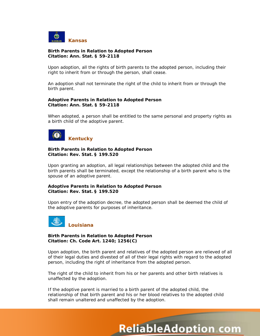

#### **Birth Parents in Relation to Adopted Person Citation: Ann. Stat. § 59-2118**

Upon adoption, all the rights of birth parents to the adopted person, including their right to inherit from or through the person, shall cease.

An adoption shall not terminate the right of the child to inherit from or through the birth parent.

#### **Adoptive Parents in Relation to Adopted Person Citation: Ann. Stat. § 59-2118**

When adopted, a person shall be entitled to the same personal and property rights as a birth child of the adoptive parent.



#### **Birth Parents in Relation to Adopted Person Citation: Rev. Stat. § 199.520**

Upon granting an adoption, all legal relationships between the adopted child and the birth parents shall be terminated, except the relationship of a birth parent who is the spouse of an adoptive parent.

#### **Adoptive Parents in Relation to Adopted Person Citation: Rev. Stat. § 199.520**

Upon entry of the adoption decree, the adopted person shall be deemed the child of the adoptive parents for purposes of inheritance.



#### **Birth Parents in Relation to Adopted Person Citation: Ch. Code Art. 1240; 1256(C)**

Upon adoption, the birth parent and relatives of the adopted person are relieved of all of their legal duties and divested of all of their legal rights with regard to the adopted person, including the right of inheritance from the adopted person.

The right of the child to inherit from his or her parents and other birth relatives is unaffected by the adoption.

If the adoptive parent is married to a birth parent of the adopted child, the relationship of that birth parent and his or her blood relatives to the adopted child shall remain unaltered and unaffected by the adoption.

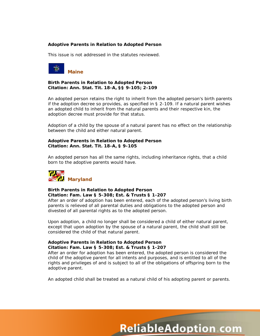#### **Adoptive Parents in Relation to Adopted Person**

This issue is not addressed in the statutes reviewed.



#### **Birth Parents in Relation to Adopted Person Citation: Ann. Stat. Tit. 18-A, §§ 9-105; 2-109**

An adopted person retains the right to inherit from the adopted person's birth parents if the adoption decree so provides, as specified in § 2-109. If a natural parent wishes an adopted child to inherit from the natural parents and their respective kin, the adoption decree must provide for that status.

Adoption of a child by the spouse of a natural parent has no effect on the relationship between the child and either natural parent.

#### **Adoptive Parents in Relation to Adopted Person Citation: Ann. Stat. Tit. 18-A, § 9-105**

An adopted person has all the same rights, including inheritance rights, that a child born to the adoptive parents would have.



#### **Birth Parents in Relation to Adopted Person Citation: Fam. Law § 5-308; Est. & Trusts § 1-207**

After an order of adoption has been entered, each of the adopted person's living birth parents is relieved of all parental duties and obligations to the adopted person and divested of all parental rights as to the adopted person.

Upon adoption, a child no longer shall be considered a child of either natural parent, except that upon adoption by the spouse of a natural parent, the child shall still be considered the child of that natural parent.

#### **Adoptive Parents in Relation to Adopted Person Citation: Fam. Law § 5-308; Est. & Trusts § 1-207**

After an order for adoption has been entered, the adopted person is considered the child of the adoptive parent for all intents and purposes, and is entitled to all of the rights and privileges of and is subject to all of the obligations of offspring born to the adoptive parent.

An adopted child shall be treated as a natural child of his adopting parent or parents.

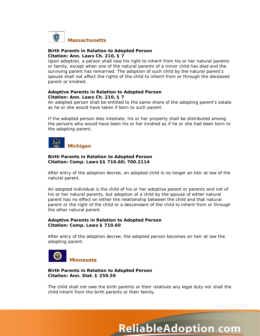

#### **Birth Parents in Relation to Adopted Person Citation: Ann. Laws Ch. 210, § 7**

Upon adoption, a person shall lose his right to inherit from his or her natural parents or family, except when one of the natural parents of a minor child has died and the surviving parent has remarried. The adoption of such child by the natural parent's spouse shall not affect the rights of the child to inherit from or through the deceased parent or kindred.

#### **Adoptive Parents in Relation to Adopted Person Citation: Ann. Laws Ch. 210, § 7**

An adopted person shall be entitled to the same share of the adopting parent's estate as he or she would have taken if born to such parent.

If the adopted person dies intestate, his or her property shall be distributed among the persons who would have been his or her kindred as if he or she had been born to the adopting parent.



#### **Birth Parents in Relation to Adopted Person Citation: Comp. Laws §§ 710.60; 700.2114**

After entry of the adoption decree, an adopted child is no longer an heir at law of the natural parent.

An adopted individual is the child of his or her adoptive parent or parents and not of his or her natural parents, but adoption of a child by the spouse of either natural parent has no effect on either the relationship between the child and that natural parent or the right of the child or a descendant of the child to inherit from or through the other natural parent.

#### **Adoptive Parents in Relation to Adopted Person Citation: Comp. Laws § 710.60**

After entry of the adoption decree, the adopted person becomes an heir at law the adopting parent.



#### **Birth Parents in Relation to Adopted Person Citation: Ann. Stat. § 259.59**

The child shall not owe the birth parents or their relatives any legal duty nor shall the child inherit from the birth parents or their family.

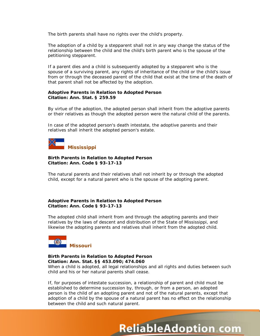The birth parents shall have no rights over the child's property.

The adoption of a child by a stepparent shall not in any way change the status of the relationship between the child and the child's birth parent who is the spouse of the petitioning stepparent.

If a parent dies and a child is subsequently adopted by a stepparent who is the spouse of a surviving parent, any rights of inheritance of the child or the child's issue from or through the deceased parent of the child that exist at the time of the death of that parent shall not be affected by the adoption.

#### **Adoptive Parents in Relation to Adopted Person Citation: Ann. Stat. § 259.59**

By virtue of the adoption, the adopted person shall inherit from the adoptive parents or their relatives as though the adopted person were the natural child of the parents.

In case of the adopted person's death intestate, the adoptive parents and their relatives shall inherit the adopted person's estate.



#### **Birth Parents in Relation to Adopted Person Citation: Ann. Code § 93-17-13**

The natural parents and their relatives shall not inherit by or through the adopted child, except for a natural parent who is the spouse of the adopting parent.

#### **Adoptive Parents in Relation to Adopted Person Citation: Ann. Code § 93-17-13**

The adopted child shall inherit from and through the adopting parents and their relatives by the laws of descent and distribution of the State of Mississippi, and likewise the adopting parents and relatives shall inherit from the adopted child.



#### **Birth Parents in Relation to Adopted Person Citation: Ann. Stat. §§ 453.090; 474.060**

When a child is adopted, all legal relationships and all rights and duties between such child and his or her natural parents shall cease.

If, for purposes of intestate succession, a relationship of parent and child must be established to determine succession by, through, or from a person, an adopted person is the child of an adopting parent and not of the natural parents, except that adoption of a child by the spouse of a natural parent has no effect on the relationship between the child and such natural parent.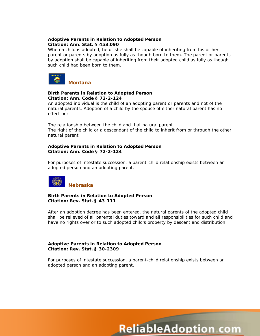#### **Adoptive Parents in Relation to Adopted Person Citation: Ann. Stat. § 453.090**

When a child is adopted, he or she shall be capable of inheriting from his or her parent or parents by adoption as fully as though born to them. The parent or parents by adoption shall be capable of inheriting from their adopted child as fully as though such child had been born to them.



#### **Birth Parents in Relation to Adopted Person Citation: Ann. Code § 72-2-124**

An adopted individual is the child of an adopting parent or parents and not of the natural parents. Adoption of a child by the spouse of either natural parent has no effect on:

The relationship between the child and that natural parent The right of the child or a descendant of the child to inherit from or through the other natural parent

#### **Adoptive Parents in Relation to Adopted Person Citation: Ann. Code § 72-2-124**

For purposes of intestate succession, a parent-child relationship exists between an adopted person and an adopting parent.



#### **Birth Parents in Relation to Adopted Person Citation: Rev. Stat. § 43-111**

After an adoption decree has been entered, the natural parents of the adopted child shall be relieved of all parental duties toward and all responsibilities for such child and have no rights over or to such adopted child's property by descent and distribution.

#### **Adoptive Parents in Relation to Adopted Person Citation: Rev. Stat. § 30-2309**

For purposes of intestate succession, a parent-child relationship exists between an adopted person and an adopting parent.

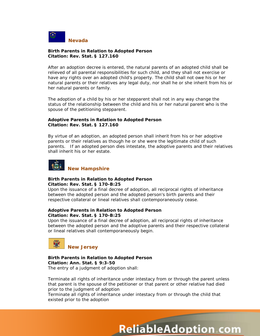

#### **Birth Parents in Relation to Adopted Person Citation: Rev. Stat. § 127.160**

After an adoption decree is entered, the natural parents of an adopted child shall be relieved of all parental responsibilities for such child, and they shall not exercise or have any rights over an adopted child's property. The child shall not owe his or her natural parents or their relatives any legal duty, nor shall he or she inherit from his or her natural parents or family.

The adoption of a child by his or her stepparent shall not in any way change the status of the relationship between the child and his or her natural parent who is the spouse of the petitioning stepparent.

#### **Adoptive Parents in Relation to Adopted Person Citation: Rev. Stat. § 127.160**

By virtue of an adoption, an adopted person shall inherit from his or her adoptive parents or their relatives as though he or she were the legitimate child of such parents. If an adopted person dies intestate, the adoptive parents and their relatives shall inherit his or her estate.



#### **Birth Parents in Relation to Adopted Person Citation: Rev. Stat. § 170-B:25**

Upon the issuance of a final decree of adoption, all reciprocal rights of inheritance between the adopted person and the adopted person's birth parents and their respective collateral or lineal relatives shall contemporaneously cease.

#### **Adoptive Parents in Relation to Adopted Person Citation: Rev. Stat. § 170-B:25**

Upon the issuance of a final decree of adoption, all reciprocal rights of inheritance between the adopted person and the adoptive parents and their respective collateral or lineal relatives shall contemporaneously begin.



**Birth Parents in Relation to Adopted Person Citation: Ann. Stat. § 9:3-50** The entry of a judgment of adoption shall:

Terminate all rights of inheritance under intestacy from or through the parent unless that parent is the spouse of the petitioner or that parent or other relative had died prior to the judgment of adoption

**ReliableAdoption com** 

Terminate all rights of inheritance under intestacy from or through the child that existed prior to the adoption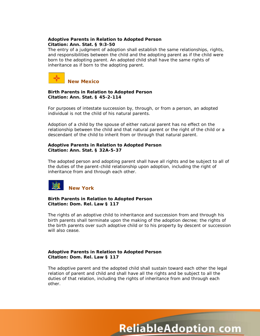#### **Adoptive Parents in Relation to Adopted Person Citation: Ann. Stat. § 9:3-50**

The entry of a judgment of adoption shall establish the same relationships, rights, and responsibilities between the child and the adopting parent as if the child were born to the adopting parent. An adopted child shall have the same rights of inheritance as if born to the adopting parent.



#### **Birth Parents in Relation to Adopted Person Citation: Ann. Stat. § 45-2-114**

For purposes of intestate succession by, through, or from a person, an adopted individual is not the child of his natural parents.

Adoption of a child by the spouse of either natural parent has no effect on the relationship between the child and that natural parent or the right of the child or a descendant of the child to inherit from or through that natural parent.

#### **Adoptive Parents in Relation to Adopted Person Citation: Ann. Stat. § 32A-5-37**

The adopted person and adopting parent shall have all rights and be subject to all of the duties of the parent-child relationship upon adoption, including the right of inheritance from and through each other.



#### **Birth Parents in Relation to Adopted Person Citation: Dom. Rel. Law § 117**

The rights of an adoptive child to inheritance and succession from and through his birth parents shall terminate upon the making of the adoption decree; the rights of the birth parents over such adoptive child or to his property by descent or succession will also cease.

#### **Adoptive Parents in Relation to Adopted Person Citation: Dom. Rel. Law § 117**

The adoptive parent and the adopted child shall sustain toward each other the legal relation of parent and child and shall have all the rights and be subject to all the duties of that relation, including the rights of inheritance from and through each other.

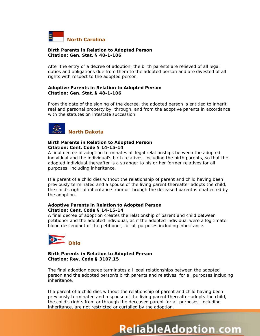

#### **Birth Parents in Relation to Adopted Person Citation: Gen. Stat. § 48-1-106**

After the entry of a decree of adoption, the birth parents are relieved of all legal duties and obligations due from them to the adopted person and are divested of all rights with respect to the adopted person.

#### **Adoptive Parents in Relation to Adopted Person Citation: Gen. Stat. § 48-1-106**

From the date of the signing of the decree, the adopted person is entitled to inherit real and personal property by, through, and from the adoptive parents in accordance with the statutes on intestate succession.



#### **Birth Parents in Relation to Adopted Person Citation: Cent. Code § 14-15-14**

A final decree of adoption terminates all legal relationships between the adopted individual and the individual's birth relatives, including the birth parents, so that the adopted individual thereafter is a stranger to his or her former relatives for all purposes, including inheritance.

If a parent of a child dies without the relationship of parent and child having been previously terminated and a spouse of the living parent thereafter adopts the child, the child's right of inheritance from or through the deceased parent is unaffected by the adoption.

#### **Adoptive Parents in Relation to Adopted Person Citation: Cent. Code § 14-15-14**

A final decree of adoption creates the relationship of parent and child between petitioner and the adopted individual, as if the adopted individual were a legitimate blood descendant of the petitioner, for all purposes including inheritance.



#### **Birth Parents in Relation to Adopted Person Citation: Rev. Code § 3107.15**

The final adoption decree terminates all legal relationships between the adopted person and the adopted person's birth parents and relatives, for all purposes including inheritance.

If a parent of a child dies without the relationship of parent and child having been previously terminated and a spouse of the living parent thereafter adopts the child, the child's rights from or through the deceased parent for all purposes, including inheritance, are not restricted or curtailed by the adoption.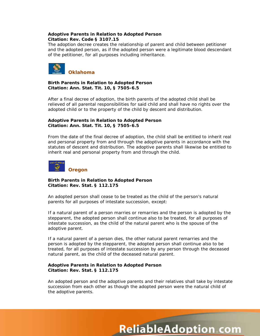#### **Adoptive Parents in Relation to Adopted Person Citation: Rev. Code § 3107.15**

The adoption decree creates the relationship of parent and child between petitioner and the adopted person, as if the adopted person were a legitimate blood descendant of the petitioner, for all purposes including inheritance.



#### **Birth Parents in Relation to Adopted Person Citation: Ann. Stat. Tit. 10, § 7505-6.5**

After a final decree of adoption, the birth parents of the adopted child shall be relieved of all parental responsibilities for said child and shall have no rights over the adopted child or to the property of the child by descent and distribution.

#### **Adoptive Parents in Relation to Adopted Person Citation: Ann. Stat. Tit. 10, § 7505-6.5**

From the date of the final decree of adoption, the child shall be entitled to inherit real and personal property from and through the adoptive parents in accordance with the statutes of descent and distribution. The adoptive parents shall likewise be entitled to inherit real and personal property from and through the child.



#### **Birth Parents in Relation to Adopted Person Citation: Rev. Stat. § 112.175**

An adopted person shall cease to be treated as the child of the person's natural parents for all purposes of intestate succession, except:

If a natural parent of a person marries or remarries and the person is adopted by the stepparent, the adopted person shall continue also to be treated, for all purposes of intestate succession, as the child of the natural parent who is the spouse of the adoptive parent.

If a natural parent of a person dies, the other natural parent remarries and the person is adopted by the stepparent, the adopted person shall continue also to be treated, for all purposes of intestate succession by any person through the deceased natural parent, as the child of the deceased natural parent.

#### **Adoptive Parents in Relation to Adopted Person Citation: Rev. Stat. § 112.175**

An adopted person and the adoptive parents and their relatives shall take by intestate succession from each other as though the adopted person were the natural child of the adoptive parents.

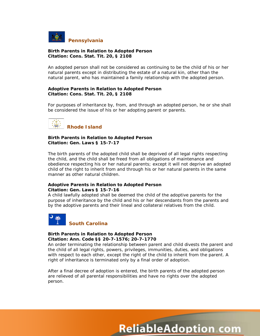

#### **Birth Parents in Relation to Adopted Person Citation: Cons. Stat. Tit. 20, § 2108**

An adopted person shall not be considered as continuing to be the child of his or her natural parents except in distributing the estate of a natural kin, other than the natural parent, who has maintained a family relationship with the adopted person.

#### **Adoptive Parents in Relation to Adopted Person Citation: Cons. Stat. Tit. 20, § 2108**

For purposes of inheritance by, from, and through an adopted person, he or she shall be considered the issue of his or her adopting parent or parents.



#### **Birth Parents in Relation to Adopted Person Citation: Gen. Laws § 15-7-17**

The birth parents of the adopted child shall be deprived of all legal rights respecting the child, and the child shall be freed from all obligations of maintenance and obedience respecting his or her natural parents; except it will not deprive an adopted child of the right to inherit from and through his or her natural parents in the same manner as other natural children.

#### **Adoptive Parents in Relation to Adopted Person Citation: Gen. Laws § 15-7-16**

A child lawfully adopted shall be deemed the child of the adoptive parents for the purpose of inheritance by the child and his or her descendants from the parents and by the adoptive parents and their lineal and collateral relatives from the child.



#### **Birth Parents in Relation to Adopted Person Citation: Ann. Code §§ 20-7-1576; 20-7-1770**

An order terminating the relationship between parent and child divests the parent and the child of all legal rights, powers, privileges, immunities, duties, and obligations with respect to each other, except the right of the child to inherit from the parent. A right of inheritance is terminated only by a final order of adoption.

After a final decree of adoption is entered, the birth parents of the adopted person are relieved of all parental responsibilities and have no rights over the adopted person.

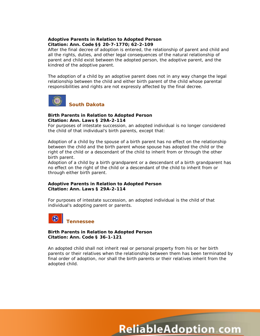#### **Adoptive Parents in Relation to Adopted Person Citation: Ann. Code §§ 20-7-1770; 62-2-109**

After the final decree of adoption is entered, the relationship of parent and child and all the rights, duties, and other legal consequences of the natural relationship of parent and child exist between the adopted person, the adoptive parent, and the kindred of the adoptive parent.

The adoption of a child by an adoptive parent does not in any way change the legal relationship between the child and either birth parent of the child whose parental responsibilities and rights are not expressly affected by the final decree.



#### **Birth Parents in Relation to Adopted Person Citation: Ann. Laws § 29A-2-114**

For purposes of intestate succession, an adopted individual is no longer considered the child of that individual's birth parents, except that:

Adoption of a child by the spouse of a birth parent has no effect on the relationship between the child and the birth parent whose spouse has adopted the child or the right of the child or a descendant of the child to inherit from or through the other birth parent.

Adoption of a child by a birth grandparent or a descendant of a birth grandparent has no effect on the right of the child or a descendant of the child to inherit from or through either birth parent.

#### **Adoptive Parents in Relation to Adopted Person Citation: Ann. Laws § 29A-2-114**

For purposes of intestate succession, an adopted individual is the child of that individual's adopting parent or parents.



#### **Birth Parents in Relation to Adopted Person Citation: Ann. Code § 36-1-121**

An adopted child shall not inherit real or personal property from his or her birth parents or their relatives when the relationship between them has been terminated by final order of adoption, nor shall the birth parents or their relatives inherit from the adopted child.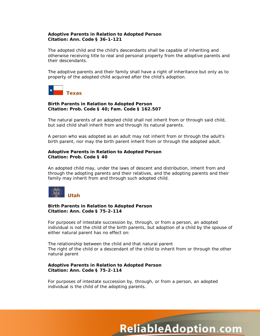#### **Adoptive Parents in Relation to Adopted Person Citation: Ann. Code § 36-1-121**

The adopted child and the child's descendants shall be capable of inheriting and otherwise receiving title to real and personal property from the adoptive parents and their descendants.

The adoptive parents and their family shall have a right of inheritance but only as to property of the adopted child acquired after the child's adoption.



#### **Birth Parents in Relation to Adopted Person Citation: Prob. Code § 40; Fam. Code § 162.507**

The natural parents of an adopted child shall not inherit from or through said child, but said child shall inherit from and through its natural parents.

A person who was adopted as an adult may not inherit from or through the adult's birth parent, nor may the birth parent inherit from or through the adopted adult.

#### **Adoptive Parents in Relation to Adopted Person Citation: Prob. Code § 40**

An adopted child may, under the laws of descent and distribution, inherit from and through the adopting parents and their relatives, and the adopting parents and their family may inherit from and through such adopted child.



#### **Birth Parents in Relation to Adopted Person Citation: Ann. Code § 75-2-114**

For purposes of intestate succession by, through, or from a person, an adopted individual is not the child of the birth parents, but adoption of a child by the spouse of either natural parent has no effect on:

The relationship between the child and that natural parent The right of the child or a descendant of the child to inherit from or through the other natural parent

#### **Adoptive Parents in Relation to Adopted Person Citation: Ann. Code § 75-2-114**

For purposes of intestate succession by, through, or from a person, an adopted individual is the child of the adopting parents.

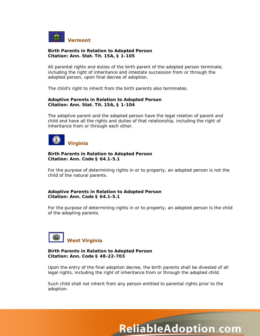

#### **Birth Parents in Relation to Adopted Person Citation: Ann. Stat. Tit. 15A, § 1-105**

All parental rights and duties of the birth parent of the adopted person terminate, including the right of inheritance and intestate succession from or through the adopted person, upon final decree of adoption.

The child's right to inherit from the birth parents also terminates.

#### **Adoptive Parents in Relation to Adopted Person Citation: Ann. Stat. Tit. 15A, § 1-104**

The adoptive parent and the adopted person have the legal relation of parent and child and have all the rights and duties of that relationship, including the right of inheritance from or through each other.



#### **Birth Parents in Relation to Adopted Person Citation: Ann. Code § 64.1-5.1**

For the purpose of determining rights in or to property, an adopted person is not the child of the natural parents.

#### **Adoptive Parents in Relation to Adopted Person Citation: Ann. Code § 64.1-5.1**

For the purpose of determining rights in or to property, an adopted person is the child of the adopting parents.



#### **Birth Parents in Relation to Adopted Person Citation: Ann. Code § 48-22-703**

Upon the entry of the final adoption decree, the birth parents shall be divested of all legal rights, including the right of inheritance from or through the adopted child.

Such child shall not inherit from any person entitled to parental rights prior to the adoption.

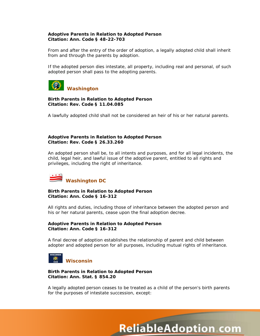#### **Adoptive Parents in Relation to Adopted Person Citation: Ann. Code § 48-22-703**

From and after the entry of the order of adoption, a legally adopted child shall inherit from and through the parents by adoption.

If the adopted person dies intestate, all property, including real and personal, of such adopted person shall pass to the adopting parents.



#### **Birth Parents in Relation to Adopted Person Citation: Rev. Code § 11.04.085**

A lawfully adopted child shall not be considered an heir of his or her natural parents.

#### **Adoptive Parents in Relation to Adopted Person Citation: Rev. Code § 26.33.260**

An adopted person shall be, to all intents and purposes, and for all legal incidents, the child, legal heir, and lawful issue of the adoptive parent, entitled to all rights and privileges, including the right of inheritance.



#### **Birth Parents in Relation to Adopted Person Citation: Ann. Code § 16-312**

All rights and duties, including those of inheritance between the adopted person and his or her natural parents, cease upon the final adoption decree.

#### **Adoptive Parents in Relation to Adopted Person Citation: Ann. Code § 16-312**

A final decree of adoption establishes the relationship of parent and child between adopter and adopted person for all purposes, including mutual rights of inheritance.



#### **Birth Parents in Relation to Adopted Person Citation: Ann. Stat. § 854.20**

A legally adopted person ceases to be treated as a child of the person's birth parents for the purposes of intestate succession, except:

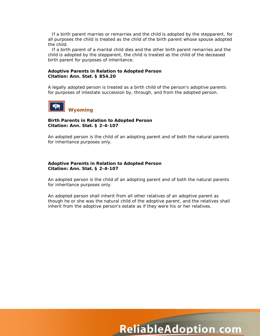If a birth parent marries or remarries and the child is adopted by the stepparent, for all purposes the child is treated as the child of the birth parent whose spouse adopted the child.

If a birth parent of a marital child dies and the other birth parent remarries and the child is adopted by the stepparent, the child is treated as the child of the deceased birth parent for purposes of inheritance.

#### **Adoptive Parents in Relation to Adopted Person Citation: Ann. Stat. § 854.20**

A legally adopted person is treated as a birth child of the person's adoptive parents for purposes of intestate succession by, through, and from the adopted person.



#### **Birth Parents in Relation to Adopted Person Citation: Ann. Stat. § 2-4-107**

An adopted person is the child of an adopting parent and of both the natural parents for inheritance purposes only.

#### **Adoptive Parents in Relation to Adopted Person Citation: Ann. Stat. § 2-4-107**

An adopted person is the child of an adopting parent and of both the natural parents for inheritance purposes only.

An adopted person shall inherit from all other relatives of an adoptive parent as though he or she was the natural child of the adoptive parent, and the relatives shall inherit from the adoptive person's estate as if they were his or her relatives.

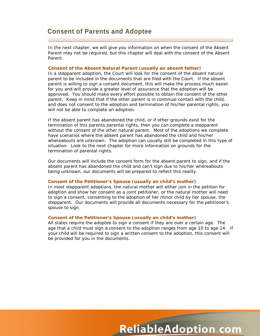## **Consent of Parents and Adoptee**

In the next chapter, we will give you information on when the consent of the Absent Parent may not be required, but this chapter will deal with the consent of the Absent Parent.

#### **Consent of the Absent Natural Parent (usually an absent father)**

In a stepparent adoption, the Court will look for the consent of the absent natural parent to be included in the documents that are filed with the Court. If the absent parent is willing to sign a consent document, this will make the process much easier for you and will provide a greater level of assurance that the adoption will be approved. You should make every effort possible to obtain the consent of the other parent. Keep in mind that if the other parent is in continual contact with the child, and does not consent to the adoption and termination of his/her parental rights, you will not be able to complete an adoption.

If the absent parent has abandoned the child, or if other grounds exist for the termination of this parents parental rights, then you can complete a stepparent without the consent of the other natural parent. Most of the adoptions we complete have scenarios where the absent parent has abandoned the child and his/her whereabouts are unknown. The adoption can usually still be completed in this type of situation. Look to the next chapter for more information on grounds for the termination of parental rights.

Our documents will include the consent form for the absent parent to sign, and if the absent parent has abandoned the child and can't sign due to his/her whereabouts being unknown, our documents will be prepared to reflect this reality.

#### **Consent of the Petitioner's Spouse (usually an child's mother)**

In most stepparent adoptions, the natural mother will either join in the petition for adoption and show her consent as a joint petitioner, or the natural mother will need to sign a consent, consenting to the adoption of her minor child by her spouse, the stepparent. Our documents will provide all documents necessary for the petitioner's spouse to sign.

#### **Consent of the Petitioner's Spouse (usually an child's mother)**

All states require the adoptee to sign a consent if they are over a certain age. The age that a child must sign a consent to the adoption ranges from age 10 to age 14. If your child will be required to sign a written consent to the adoption, this consent will be provided for you in the documents.

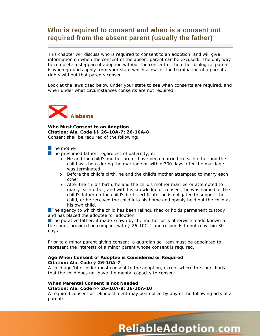# **Who is required to consent and when is a consent not required from the absent parent (usually the father)**

This chapter will discuss who is required to consent to an adoption, and will give information on when the consent of the absent parent can be excused. The only way to complete a stepparent adoption without the consent of the other biological parent is when grounds apply from your state which allow for the termination of a parents rights without that parents consent.

Look at the laws cited below under your state to see when consents are required, and when under what circumstances consents are not required.



**Who Must Consent to an Adoption Citation: Ala. Code §§ 26-10A-7; 26-10A-8** Consent shall be required of the following:

#### **The mother**

 $\blacksquare$  The presumed father, regardless of paternity, if:

- o He and the child's mother are or have been married to each other and the child was born during the marriage or within 300 days after the marriage was terminated.
- o Before the child's birth, he and the child's mother attempted to marry each other.
- o After the child's birth, he and the child's mother married or attempted to marry each other, and with his knowledge or consent, he was named as the child's father on the child's birth certificate, he is obligated to support the child, or he received the child into his home and openly held out the child as his own child.

**The agency to which the child has been relinguished or holds permanent custody** and has placed the adoptee for adoption

**The putative father, if made known by the mother or is otherwise made known to** the court, provided he complies with § 26-10C-1 and responds to notice within 30 days

Prior to a minor parent giving consent, a guardian *ad litem* must be appointed to represent the interests of a minor parent whose consent is required.

#### **Age When Consent of Adoptee is Considered or Required Citation: Ala. Code § 26-10A-7**

A child age 14 or older must consent to the adoption, except where the court finds that the child does not have the mental capacity to consent.

#### **When Parental Consent is not Needed Citation: Ala. Code §§ 26-10A-9; 26-10A-10**

A required consent or relinquishment may be implied by any of the following acts of a parent: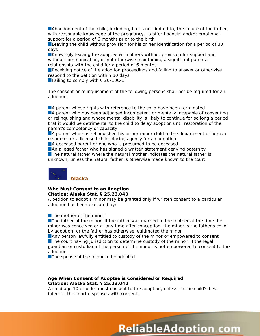**Abandonment of the child, including, but is not limited to, the failure of the father,** with reasonable knowledge of the pregnancy, to offer financial and/or emotional support for a period of 6 months prior to the birth

Leaving the child without provision for his or her identification for a period of 30 days

**EX** Knowingly leaving the adoptee with others without provision for support and without communication, or not otherwise maintaining a significant parental relationship with the child for a period of 6 months

Receiving notice of the adoption proceedings and failing to answer or otherwise respond to the petition within 30 days

■Failing to comply with § 26-10C-1

The consent or relinquishment of the following persons shall not be required for an adoption:

A parent whose rights with reference to the child have been terminated A parent who has been adjudged incompetent or mentally incapable of consenting or relinquishing and whose mental disability is likely to continue for so long a period that it would be detrimental to the child to delay adoption until restoration of the parent's competency or capacity

**A** parent who has relinquished his or her minor child to the department of human resources or a licensed child-placing agency for an adoption

A deceased parent or one who is presumed to be deceased

**An alleged father who has signed a written statement denying paternity The natural father where the natural mother indicates the natural father is** unknown, unless the natural father is otherwise made known to the court



# **Who Must Consent to an Adoption**

**Citation: Alaska Stat. § 25.23.040**

A petition to adopt a minor may be granted only if written consent to a particular adoption has been executed by:

**The mother of the minor** 

**The father of the minor, if the father was married to the mother at the time the** minor was conceived or at any time after conception, the minor is the father's child by adoption, or the father has otherwise legitimated the minor

Any person lawfully entitled to custody of the minor or empowered to consent **The court having jurisdiction to determine custody of the minor, if the legal** guardian or custodian of the person of the minor is not empowered to consent to the adoption

The spouse of the minor to be adopted

#### **Age When Consent of Adoptee is Considered or Required Citation: Alaska Stat. § 25.23.040**

A child age 10 or older must consent to the adoption, unless, in the child's best interest, the court dispenses with consent.

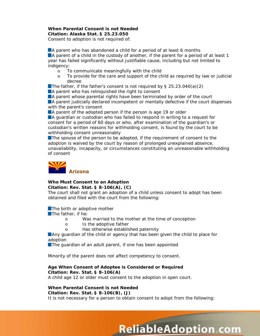#### **When Parental Consent is not Needed Citation: Alaska Stat. § 25.23.050**

Consent to adoption is not required of:

A parent who has abandoned a child for a period of at least 6 months **A** parent of a child in the custody of another, if the parent for a period of at least 1 year has failed significantly without justifiable cause, including but not limited to indigency:

- o To communicate meaningfully with the child<br>o To provide for the care and support of the ch
- To provide for the care and support of the child as required by law or judicial decree

The father, if the father's consent is not required by  $\S$  25.23.040(a)(2)

A parent who has relinguished the right to consent

**A** parent whose parental rights have been terminated by order of the court

A parent judicially declared incompetent or mentally defective if the court dispenses with the parent's consent

A parent of the adopted person if the person is age 19 or older

A guardian or custodian who has failed to respond in writing to a request for consent for a period of 60 days or who, after examination of the guardian's or custodian's written reasons for withholding consent, is found by the court to be withholding consent unreasonably

**The spouse of the person to be adopted, if the requirement of consent to the** adoption is waived by the court by reason of prolonged unexplained absence, unavailability, incapacity, or circumstances constituting an unreasonable withholding of consent



## **Who Must Consent to an Adoption**

#### **Citation: Rev. Stat. § 8-106(A), (C)**

The court shall not grant an adoption of a child unless consent to adopt has been obtained and filed with the court from the following:

The birth or adoptive mother

 $\blacksquare$  The father, if he:

- o Was married to the mother at the time of conception
- o Is the adoptive father
- o Has otherwise established paternity

Any guardian of the child or agency that has been given the child to place for adoption

The guardian of an adult parent, if one has been appointed

Minority of the parent does not affect competency to consent.

#### **Age When Consent of Adoptee is Considered or Required Citation: Rev. Stat. § 8-106(A)**

A child age 12 or older must consent to the adoption in open court.

#### **When Parental Consent is not Needed Citation: Rev. Stat. § 8-106(B), (J)**

It is not necessary for a person to obtain consent to adopt from the following: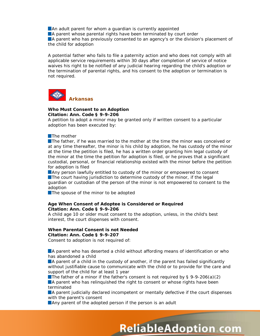An adult parent for whom a quardian is currently appointed

A parent whose parental rights have been terminated by court order

A parent who has previously consented to an agency's or the division's placement of the child for adoption

A potential father who fails to file a paternity action and who does not comply with all applicable service requirements within 30 days after completion of service of notice waives his right to be notified of any judicial hearing regarding the child's adoption or the termination of parental rights, and his consent to the adoption or termination is not required.



#### **Who Must Consent to an Adoption Citation: Ann. Code § 9-9-206**

A petition to adopt a minor may be granted only if written consent to a particular adoption has been executed by:

#### **The mother**

**The father, if he was married to the mother at the time the minor was conceived or** at any time thereafter, the minor is his child by adoption, he has custody of the minor at the time the petition is filed, he has a written order granting him legal custody of the minor at the time the petition for adoption is filed, or he proves that a significant custodial, personal, or financial relationship existed with the minor before the petition for adoption is filed

**Any person lawfully entitled to custody of the minor or empowered to consent** The court having jurisdiction to determine custody of the minor, if the legal guardian or custodian of the person of the minor is not empowered to consent to the adoption

The spouse of the minor to be adopted

#### **Age When Consent of Adoptee is Considered or Required Citation: Ann. Code § 9-9-206**

A child age 10 or older must consent to the adoption, unless, in the child's best interest, the court dispenses with consent.

#### **When Parental Consent is not Needed Citation: Ann. Code § 9-9-207**

Consent to adoption is not required of:

**A** parent who has deserted a child without affording means of identification or who has abandoned a child

A parent of a child in the custody of another, if the parent has failed significantly without justifiable cause to communicate with the child or to provide for the care and support of the child for at least 1 year

The father of a minor if the father's consent is not required by  $\S$  9-9-206(a)(2) **A** parent who has relinquished the right to consent or whose rights have been terminated

A parent judicially declared incompetent or mentally defective if the court dispenses with the parent's consent

**ReliableAdoption com** 

**Any parent of the adopted person if the person is an adult**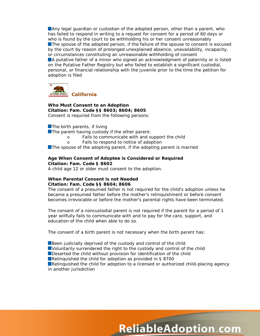Any legal guardian or custodian of the adopted person, other than a parent, who has failed to respond in writing to a request for consent for a period of 60 days or who is found by the court to be withholding his or her consent unreasonably The spouse of the adopted person, if the failure of the spouse to consent is excused by the court by reason of prolonged unexplained absence, unavailability, incapacity, or circumstances constituting an unreasonable withholding of consent

A putative father of a minor who signed an acknowledgment of paternity or is listed on the Putative Father Registry but who failed to establish a significant custodial, personal, or financial relationship with the juvenile prior to the time the petition for adoption is filed



**Who Must Consent to an Adoption Citation: Fam. Code §§ 8603; 8604; 8605** Consent is required from the following persons:

 $\blacksquare$  The birth parents, if living

 $\blacksquare$  The parent having custody if the other parent:

- o Fails to communicate with and support the child
- o Fails to respond to notice of adoption

The spouse of the adopting parent, if the adopting parent is married

#### **Age When Consent of Adoptee is Considered or Required Citation: Fam. Code § 8602**

A child age 12 or older must consent to the adoption.

#### **When Parental Consent is not Needed Citation: Fam. Code §§ 8604; 8606**

The consent of a presumed father is not required for the child's adoption unless he became a presumed father before the mother's relinquishment or before consent becomes irrevocable or before the mother's parental rights have been terminated.

The consent of a noncustodial parent is not required if the parent for a period of 1 year willfully fails to communicate with and to pay for the care, support, and education of the child when able to do so.

The consent of a birth parent is not necessary when the birth parent has:

Been judicially deprived of the custody and control of the child Voluntarily surrendered the right to the custody and control of the child Deserted the child without provision for identification of the child ■Relinquished the child for adoption as provided in § 8700 Relinquished the child for adoption to a licensed or authorized child-placing agency in another jurisdiction

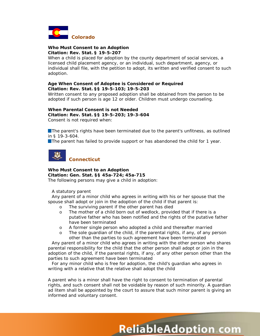

#### **Who Must Consent to an Adoption Citation: Rev. Stat. § 19-5-207**

When a child is placed for adoption by the county department of social services, a licensed child placement agency, or an individual, such department, agency, or individual shall file, with the petition to adopt, its written and verified consent to such adoption.

#### **Age When Consent of Adoptee is Considered or Required Citation: Rev. Stat. §§ 19-5-103; 19-5-203**

Written consent to any proposed adoption shall be obtained from the person to be adopted if such person is age 12 or older. Children must undergo counseling.

#### **When Parental Consent is not Needed Citation: Rev. Stat. §§ 19-5-203; 19-3-604** Consent is not required when:

**The parent's rights have been terminated due to the parent's unfitness, as outlined** 

in § 19-3-604. **The parent has failed to provide support or has abandoned the child for 1 year.** 



#### **Who Must Consent to an Adoption Citation: Gen. Stat. §§ 45a-724; 45a-715**

The following persons may give a child in adoption:

A statutory parent

Any parent of a minor child who agrees in writing with his or her spouse that the spouse shall adopt or join in the adoption of the child if that parent is:

- o The surviving parent if the other parent has died<br>
o The mother of a child born out of wedlock, provid
- The mother of a child born out of wedlock, provided that if there is a putative father who has been notified and the rights of the putative father have been terminated
- o A former single person who adopted a child and thereafter married
- o The sole guardian of the child, if the parental rights, if any, of any person other than the parties to such agreement have been terminated

Any parent of a minor child who agrees in writing with the other person who shares parental responsibility for the child that the other person shall adopt or join in the adoption of the child, if the parental rights, if any, of any other person other than the parties to such agreement have been terminated

For any minor child who is free for adoption, the child's guardian who agrees in writing with a relative that the relative shall adopt the child

A parent who is a minor shall have the right to consent to termination of parental rights, and such consent shall not be voidable by reason of such minority. A guardian *ad litem* shall be appointed by the court to assure that such minor parent is giving an informed and voluntary consent.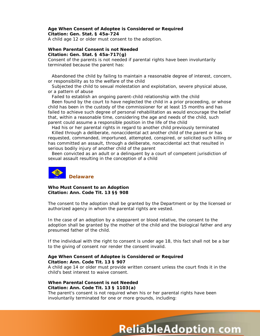#### **Age When Consent of Adoptee is Considered or Required Citation: Gen. Stat. § 45a-724**

A child age 12 or older must consent to the adoption.

#### **When Parental Consent is not Needed Citation: Gen. Stat. § 45a-717(g)**

Consent of the parents is not needed if parental rights have been involuntarily terminated because the parent has:

Abandoned the child by failing to maintain a reasonable degree of interest, concern, or responsibility as to the welfare of the child

Subjected the child to sexual molestation and exploitation, severe physical abuse, or a pattern of abuse

Failed to establish an ongoing parent-child relationship with the child

Been found by the court to have neglected the child in a prior proceeding, or whose child has been in the custody of the commissioner for at least 15 months and has failed to achieve such degree of personal rehabilitation as would encourage the belief that, within a reasonable time, considering the age and needs of the child, such parent could assume a responsible position in the life of the child

Had his or her parental rights in regard to another child previously terminated Killed through a deliberate, nonaccidental act another child of the parent or has requested, commanded, importuned, attempted, conspired, or solicited such killing or has committed an assault, through a deliberate, nonaccidental act that resulted in serious bodily injury of another child of the parent

Been convicted as an adult or a delinquent by a court of competent jurisdiction of sexual assault resulting in the conception of a child



**Who Must Consent to an Adoption Citation: Ann. Code Tit. 13 §§ 908**

The consent to the adoption shall be granted by the Department or by the licensed or authorized agency in whom the parental rights are vested.

In the case of an adoption by a stepparent or blood relative, the consent to the adoption shall be granted by the mother of the child and the biological father and any presumed father of the child.

If the individual with the right to consent is under age 18, this fact shall not be a bar to the giving of consent nor render the consent invalid.

#### **Age When Consent of Adoptee is Considered or Required Citation: Ann. Code Tit. 13 § 907**

A child age 14 or older must provide written consent unless the court finds it in the child's best interest to waive consent.

#### **When Parental Consent is not Needed Citation: Ann. Code Tit. 13 § 1103(a)**

The parent's consent is not required when his or her parental rights have been involuntarily terminated for one or more grounds, including:

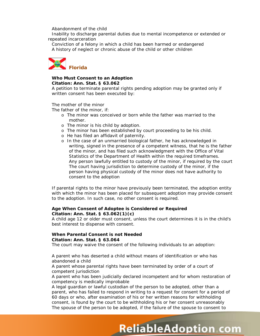Abandonment of the child

Inability to discharge parental duties due to mental incompetence or extended or repeated incarceration

Conviction of a felony in which a child has been harmed or endangered A history of neglect or chronic abuse of the child or other children



#### **Who Must Consent to an Adoption Citation: Ann. Stat. § 63.062**

A petition to terminate parental rights pending adoption may be granted only if written consent has been executed by:

The mother of the minor

The father of the minor, if:

- o The minor was conceived or born while the father was married to the mother.
- o The minor is his child by adoption.
- o The minor has been established by court proceeding to be his child.
- o He has filed an affidavit of paternity.
- o In the case of an unmarried biological father, he has acknowledged in writing, signed in the presence of a competent witness, that he is the father of the minor, and has filed such acknowledgment with the Office of Vital Statistics of the Department of Health within the required timeframes. Any person lawfully entitled to custody of the minor, if required by the court The court having jurisdiction to determine custody of the minor, if the person having physical custody of the minor does not have authority to consent to the adoption

If parental rights to the minor have previously been terminated, the adoption entity with which the minor has been placed for subsequent adoption may provide consent to the adoption. In such case, no other consent is required.

#### **Age When Consent of Adoptee is Considered or Required Citation: Ann. Stat. § 63.062(1)(c)**

A child age 12 or older must consent, unless the court determines it is in the child's best interest to dispense with consent.

#### **When Parental Consent is not Needed Citation: Ann. Stat. § 63.064**

The court may waive the consent of the following individuals to an adoption:

A parent who has deserted a child without means of identification or who has abandoned a child

A parent whose parental rights have been terminated by order of a court of competent jurisdiction

A parent who has been judicially declared incompetent and for whom restoration of competency is medically improbable

A legal guardian or lawful custodian of the person to be adopted, other than a parent, who has failed to respond in writing to a request for consent for a period of 60 days or who, after examination of his or her written reasons for withholding consent, is found by the court to be withholding his or her consent unreasonably The spouse of the person to be adopted, if the failure of the spouse to consent to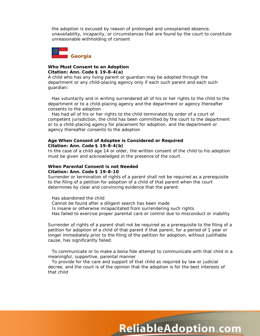the adoption is excused by reason of prolonged and unexplained absence, unavailability, incapacity, or circumstances that are found by the court to constitute unreasonable withholding of consent



#### **Who Must Consent to an Adoption Citation: Ann. Code § 19-8-4(a)**

A child who has any living parent or guardian may be adopted through the department or any child-placing agency only if each such parent and each such guardian:

Has voluntarily and in writing surrendered all of his or her rights to the child to the department or to a child-placing agency and the department or agency thereafter consents to the adoption

Has had all of his or her rights to the child terminated by order of a court of competent jurisdiction, the child has been committed by the court to the department or to a child-placing agency for placement for adoption, and the department or agency thereafter consents to the adoption

#### **Age When Consent of Adoptee is Considered or Required Citation: Ann. Code § 19-8-4(b)**

In the case of a child age 14 or older, the written consent of the child to his adoption must be given and acknowledged in the presence of the court.

#### **When Parental Consent is not Needed Citation: Ann. Code § 19-8-10**

Surrender or termination of rights of a parent shall not be required as a prerequisite to the filing of a petition for adoption of a child of that parent when the court determines by clear and convincing evidence that the parent:

Has abandoned the child Cannot be found after a diligent search has been made Is insane or otherwise incapacitated from surrendering such rights Has failed to exercise proper parental care or control due to misconduct or inability

Surrender of rights of a parent shall not be required as a prerequisite to the filing of a petition for adoption of a child of that parent if that parent, for a period of 1 year or longer immediately prior to the filing of the petition for adoption, without justifiable cause, has significantly failed:

To communicate or to make a bona fide attempt to communicate with that child in a meaningful, supportive, parental manner

To provide for the care and support of that child as required by law or judicial decree, and the court is of the opinion that the adoption is for the best interests of that child

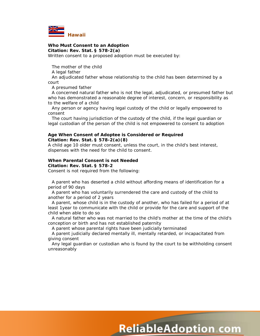

# **Who Must Consent to an Adoption**

**Citation: Rev. Stat. § 578-2(a)**

Written consent to a proposed adoption must be executed by:

The mother of the child

A legal father

An adjudicated father whose relationship to the child has been determined by a court

A presumed father

A concerned natural father who is not the legal, adjudicated, or presumed father but who has demonstrated a reasonable degree of interest, concern, or responsibility as to the welfare of a child

Any person or agency having legal custody of the child or legally empowered to consent

The court having jurisdiction of the custody of the child, if the legal guardian or legal custodian of the person of the child is not empowered to consent to adoption

#### **Age When Consent of Adoptee is Considered or Required Citation: Rev. Stat. § 578-2(a)(8)**

A child age 10 older must consent, unless the court, in the child's best interest, dispenses with the need for the child to consent.

#### **When Parental Consent is not Needed**

**Citation: Rev. Stat. § 578-2**

Consent is not required from the following:

A parent who has deserted a child without affording means of identification for a period of 90 days

A parent who has voluntarily surrendered the care and custody of the child to another for a period of 2 years

A parent, whose child is in the custody of another, who has failed for a period of at least 1year to communicate with the child or provide for the care and support of the child when able to do so

A natural father who was not married to the child's mother at the time of the child's conception or birth and has not established paternity

A parent whose parental rights have been judicially terminated

A parent judicially declared mentally ill, mentally retarded, or incapacitated from giving consent

Any legal guardian or custodian who is found by the court to be withholding consent unreasonably

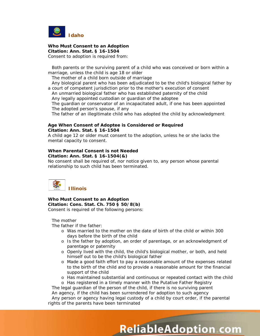

**Who Must Consent to an Adoption Citation: Ann. Stat. § 16-1504** Consent to adoption is required from:

Both parents or the surviving parent of a child who was conceived or born within a marriage, unless the child is age 18 or older

The mother of a child born outside of marriage

Any biological parent who has been adjudicated to be the child's biological father by a court of competent jurisdiction prior to the mother's execution of consent

An unmarried biological father who has established paternity of the child Any legally appointed custodian or guardian of the adoptee The guardian or conservator of an incapacitated adult, if one has been appointed The adopted person's spouse, if any

The father of an illegitimate child who has adopted the child by acknowledgment

#### **Age When Consent of Adoptee is Considered or Required Citation: Ann. Stat. § 16-1504**

A child age 12 or older must consent to the adoption, unless he or she lacks the mental capacity to consent.

# **When Parental Consent is not Needed**

**Citation: Ann. Stat. § 16-1504(&)**

No consent shall be required of, nor notice given to, any person whose parental relationship to such child has been terminated.



**Who Must Consent to an Adoption Citation: Cons. Stat. Ch. 750 § 50/8(b)** Consent is required of the following persons:

The mother

The father if the father:

- o Was married to the mother on the date of birth of the child or within 300 days before the birth of the child
- o Is the father by adoption, an order of parentage, or an acknowledgment of parentage or paternity
- o Openly lived with the child, the child's biological mother, or both, and held himself out to be the child's biological father
- o Made a good faith effort to pay a reasonable amount of the expenses related to the birth of the child and to provide a reasonable amount for the financial support of the child
- o Has maintained substantial and continuous or repeated contact with the child

**ReliableAdoption com** 

o Has registered in a timely manner with the Putative Father Registry

The legal guardian of the person of the child, if there is no surviving parent An agency, if the child has been surrendered for adoption to such agency Any person or agency having legal custody of a child by court order, if the parental

rights of the parents have been terminated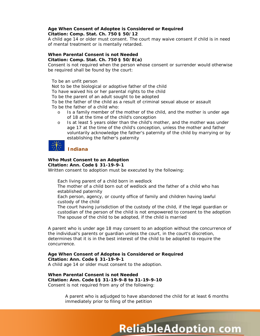#### **Age When Consent of Adoptee is Considered or Required Citation: Comp. Stat. Ch. 750 § 50/12**

A child age 14 or older must consent. The court may waive consent if child is in need of mental treatment or is mentally retarded.

#### **When Parental Consent is not Needed Citation: Comp. Stat. Ch. 750 § 50/8(a)**

Consent is not required when the person whose consent or surrender would otherwise be required shall be found by the court:

To be an unfit person

Not to be the biological or adoptive father of the child

To have waived his or her parental rights to the child

To be the parent of an adult sought to be adopted

To be the father of the child as a result of criminal sexual abuse or assault

To be the father of a child who:

- o Is a family member of the mother of the child, and the mother is under age of 18 at the time of the child's conception
- o Is at least 5 years older than the child's mother, and the mother was under age 17 at the time of the child's conception, unless the mother and father voluntarily acknowledge the father's paternity of the child by marrying or by establishing the father's paternity

# **Indiana**

#### **Who Must Consent to an Adoption Citation: Ann. Code § 31-19-9-1**

Written consent to adoption must be executed by the following:

Each living parent of a child born in wedlock

The mother of a child born out of wedlock and the father of a child who has established paternity

Each person, agency, or county office of family and children having lawful custody of the child

The court having jurisdiction of the custody of the child, if the legal guardian or custodian of the person of the child is not empowered to consent to the adoption The spouse of the child to be adopted, if the child is married

A parent who is under age 18 may consent to an adoption without the concurrence of the individual's parents or guardian unless the court, in the court's discretion, determines that it is in the best interest of the child to be adopted to require the concurrence.

**Age When Consent of Adoptee is Considered or Required Citation: Ann. Code § 31-19-9-1** A child age 14 or older must consent to the adoption.

**When Parental Consent is not Needed Citation: Ann. Code §§ 31-19-9-8 to 31-19-9-10** Consent is not required from any of the following:

> A parent who is adjudged to have abandoned the child for at least 6 months immediately prior to filing of the petition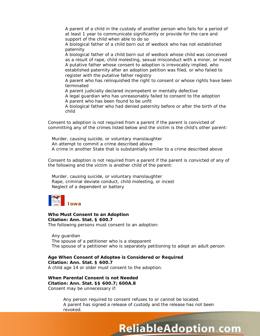A parent of a child in the custody of another person who fails for a period of at least 1 year to communicate significantly or provide for the care and support of the child when able to do so

A biological father of a child born out of wedlock who has not established paternity

A biological father of a child born out of wedlock whose child was conceived as a result of rape, child molesting, sexual misconduct with a minor, or incest A putative father whose consent to adoption is irrevocably implied, who established paternity after an adoption petition was filed, or who failed to register with the putative father registry

A parent who has relinquished the right to consent or whose rights have been terminated

A parent judicially declared incompetent or mentally defective

A legal guardian who has unreasonably failed to consent to the adoption A parent who has been found to be unfit

A biological father who had denied paternity before or after the birth of the child

Consent to adoption is not required from a parent if the parent is convicted of committing any of the crimes listed below and the victim is the child's other parent:

Murder, causing suicide, or voluntary manslaughter An attempt to commit a crime described above A crime in another State that is substantially similar to a crime described above

Consent to adoption is not required from a parent if the parent is convicted of any of the following and the victim is another child of the parent:

Murder, causing suicide, or voluntary manslaughter Rape, criminal deviate conduct, child molesting, or incest Neglect of a dependent or battery



**Who Must Consent to an Adoption Citation: Ann. Stat. § 600.7** The following persons must consent to an adoption:

Any guardian The spouse of a petitioner who is a stepparent The spouse of a petitioner who is separately petitioning to adopt an adult person

**Age When Consent of Adoptee is Considered or Required Citation: Ann. Stat. § 600.7** A child age 14 or older must consent to the adoption.

**When Parental Consent is not Needed Citation: Ann. Stat. §§ 600.7; 600A.8** Consent may be unnecessary if:

> Any person required to consent refuses to or cannot be located. A parent has signed a release of custody and the release has not been revoked.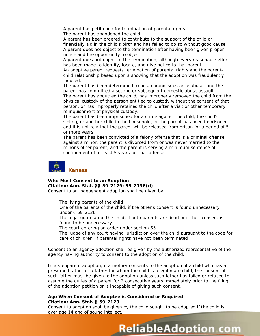A parent has petitioned for termination of parental rights.

The parent has abandoned the child.

A parent has been ordered to contribute to the support of the child or financially aid in the child's birth and has failed to do so without good cause. A parent does not object to the termination after having been given proper notice and the opportunity to object.

A parent does not object to the termination, although every reasonable effort has been made to identify, locate, and give notice to that parent.

An adoptive parent requests termination of parental rights and the parentchild relationship based upon a showing that the adoption was fraudulently induced.

The parent has been determined to be a chronic substance abuser and the parent has committed a second or subsequent domestic abuse assault. The parent has abducted the child, has improperly removed the child from the physical custody of the person entitled to custody without the consent of that person, or has improperly retained the child after a visit or other temporary relinquishment of physical custody.

The parent has been imprisoned for a crime against the child, the child's sibling, or another child in the household, or the parent has been imprisoned and it is unlikely that the parent will be released from prison for a period of 5 or more years.

The parent has been convicted of a felony offense that is a criminal offense against a minor, the parent is divorced from or was never married to the minor's other parent, and the parent is serving a minimum sentence of confinement of at least 5 years for that offense.



# **Who Must Consent to an Adoption Citation: Ann. Stat. §§ 59-2129; 59-2136(d)**

Consent to an independent adoption shall be given by:

The living parents of the child

One of the parents of the child, if the other's consent is found unnecessary under § 59-2136

The legal guardian of the child, if both parents are dead or if their consent is found to be unnecessary

The court entering an order under section 65

The judge of any court having jurisdiction over the child pursuant to the code for care of children, if parental rights have not been terminated

Consent to an agency adoption shall be given by the authorized representative of the agency having authority to consent to the adoption of the child.

In a stepparent adoption, if a mother consents to the adoption of a child who has a presumed father or a father for whom the child is a legitimate child, the consent of such father must be given to the adoption unless such father has failed or refused to assume the duties of a parent for 2 consecutive years immediately prior to the filing of the adoption petition or is incapable of giving such consent.

#### **Age When Consent of Adoptee is Considered or Required Citation: Ann. Stat. § 59-2129**

Consent to adoption shall be given by the child sought to be adopted if the child is over age 14 and of sound intellect.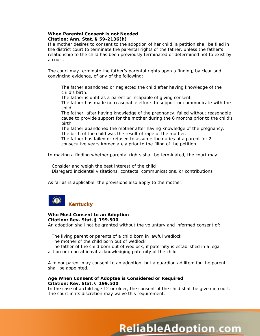#### **When Parental Consent is not Needed Citation: Ann. Stat. § 59-2136(h)**

If a mother desires to consent to the adoption of her child, a petition shall be filed in the district court to terminate the parental rights of the father, unless the father's relationship to the child has been previously terminated or determined not to exist by a court.

The court may terminate the father's parental rights upon a finding, by clear and convincing evidence, of any of the following:

The father abandoned or neglected the child after having knowledge of the child's birth.

The father is unfit as a parent or incapable of giving consent.

The father has made no reasonable efforts to support or communicate with the child.

The father, after having knowledge of the pregnancy, failed without reasonable cause to provide support for the mother during the 6 months prior to the child's birth.

The father abandoned the mother after having knowledge of the pregnancy. The birth of the child was the result of rape of the mother.

The father has failed or refused to assume the duties of a parent for 2 consecutive years immediately prior to the filing of the petition.

In making a finding whether parental rights shall be terminated, the court may:

Consider and weigh the best interest of the child Disregard incidental visitations, contacts, communications, or contributions

As far as is applicable, the provisions also apply to the mother.



#### **Who Must Consent to an Adoption Citation: Rev. Stat. § 199.500**

An adoption shall not be granted without the voluntary and informed consent of:

The living parent or parents of a child born in lawful wedlock The mother of the child born out of wedlock

The father of the child born out of wedlock, if paternity is established in a legal action or in an affidavit acknowledging paternity of the child

A minor parent may consent to an adoption, but a guardian *ad litem* for the parent shall be appointed.

#### **Age When Consent of Adoptee is Considered or Required Citation: Rev. Stat. § 199.500**

In the case of a child age 12 or older, the consent of the child shall be given in court. The court in its discretion may waive this requirement.

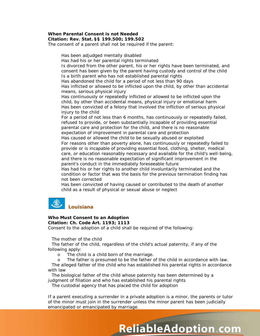#### **When Parental Consent is not Needed Citation: Rev. Stat. §§ 199.500; 199.502**

The consent of a parent shall not be required if the parent:

Has been adjudged mentally disabled Has had his or her parental rights terminated Is divorced from the other parent, his or her rights have been terminated, and consent has been given by the parent having custody and control of the child Is a birth parent who has not established parental rights Has abandoned the child for a period of not less than 90 days Has inflicted or allowed to be inflicted upon the child, by other than accidental means, serious physical injury Has continuously or repeatedly inflicted or allowed to be inflicted upon the child, by other than accidental means, physical injury or emotional harm Has been convicted of a felony that involved the infliction of serious physical injury to the child For a period of not less than 6 months, has continuously or repeatedly failed, refused to provide, or been substantially incapable of providing essential parental care and protection for the child, and there is no reasonable expectation of improvement in parental care and protection Has caused or allowed the child to be sexually abused or exploited For reasons other than poverty alone, has continuously or repeatedly failed to provide or is incapable of providing essential food, clothing, shelter, medical care, or education reasonably necessary and available for the child's well-being, and there is no reasonable expectation of significant improvement in the parent's conduct in the immediately foreseeable future Has had his or her rights to another child involuntarily terminated and the condition or factor that was the basis for the previous termination finding has not been corrected

Has been convicted of having caused or contributed to the death of another child as a result of physical or sexual abuse or neglect



## **Who Must Consent to an Adoption**

**Citation: Ch. Code Art. 1193; 1113**

Consent to the adoption of a child shall be required of the following:

The mother of the child

The father of the child, regardless of the child's actual paternity, if any of the following apply:

o The child is a child born of the marriage.

o The father is presumed to be the father of the child in accordance with law.

The alleged father of the child who has established his parental rights in accordance with law

The biological father of the child whose paternity has been determined by a judgment of filiation and who has established his parental rights

The custodial agency that has placed the child for adoption

If a parent executing a surrender in a private adoption is a minor, the parents or tutor of the minor must join in the surrender unless the minor parent has been judicially emancipated or emancipated by marriage.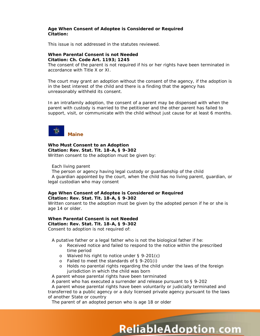#### **Age When Consent of Adoptee is Considered or Required Citation:**

This issue is not addressed in the statutes reviewed.

#### **When Parental Consent is not Needed Citation: Ch. Code Art. 1193; 1245**

The consent of the parent is not required if his or her rights have been terminated in accordance with Title X or XI.

The court may grant an adoption without the consent of the agency, if the adoption is in the best interest of the child and there is a finding that the agency has unreasonably withheld its consent.

In an intrafamily adoption, the consent of a parent may be dispensed with when the parent with custody is married to the petitioner and the other parent has failed to support, visit, or communicate with the child without just cause for at least 6 months.



**Who Must Consent to an Adoption Citation: Rev. Stat. Tit. 18-A, § 9-302** Written consent to the adoption must be given by:

Each living parent

The person or agency having legal custody or guardianship of the child A guardian appointed by the court, when the child has no living parent, guardian, or legal custodian who may consent

#### **Age When Consent of Adoptee is Considered or Required Citation: Rev. Stat. Tit. 18-A, § 9-302**

Written consent to the adoption must be given by the adopted person if he or she is age 14 or older.

#### **When Parental Consent is not Needed Citation: Rev. Stat. Tit. 18-A, § 9-302**

Consent to adoption is not required of:

A putative father or a legal father who is not the biological father if he:

- o Received notice and failed to respond to the notice within the prescribed time period
- o Waived his right to notice under § 9-201(c)
- o Failed to meet the standards of § 9-201(i)
- o Holds no parental rights regarding the child under the laws of the foreign jurisdiction in which the child was born

A parent whose parental rights have been terminated

A parent who has executed a surrender and release pursuant to § 9-202

A parent whose parental rights have been voluntarily or judicially terminated and transferred to a public agency or a duly licensed private agency pursuant to the laws of another State or country

**ReliableAdoption com** 

The parent of an adopted person who is age 18 or older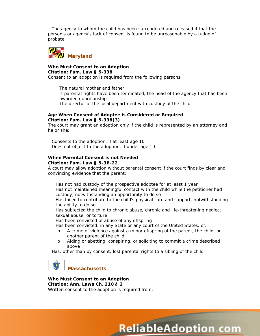The agency to whom the child has been surrendered and released if that the person's or agency's lack of consent is found to be unreasonable by a judge of probate



#### **Who Must Consent to an Adoption Citation: Fam. Law § 5-338**

Consent to an adoption is required from the following persons:

The natural mother and father If parental rights have been terminated, the head of the agency that has been awarded guardianship The director of the local department with custody of the child

#### **Age When Consent of Adoptee is Considered or Required Citation: Fam. Law § 5-338(3)**

The court may grant an adoption only if the child is represented by an attorney and he or she:

Consents to the adoption, if at least age 10 Does not object to the adoption, if under age 10

#### **When Parental Consent is not Needed Citation: Fam. Law § 5-3B-22**

A court may allow adoption without parental consent if the court finds by clear and convincing evidence that the parent:

Has not had custody of the prospective adoptee for at least 1 year Has not maintained meaningful contact with the child while the petitioner had custody, notwithstanding an opportunity to do so

Has failed to contribute to the child's physical care and support, notwithstanding the ability to do so

Has subjected the child to chronic abuse, chronic and life-threatening neglect, sexual abuse, or torture

Has been convicted of abuse of any offspring

Has been convicted, in any State or any court of the United States, of:

- o A crime of violence against a minor offspring of the parent, the child, or another parent of the child
- o Aiding or abetting, conspiring, or soliciting to commit a crime described above

Has, other than by consent, lost parental rights to a sibling of the child

# **Massachusetts**

**Who Must Consent to an Adoption Citation: Ann. Laws Ch. 210 § 2** Written consent to the adoption is required from:

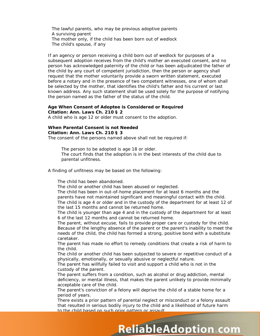The lawful parents, who may be previous adoptive parents A surviving parent The mother only, if the child has been born out of wedlock The child's spouse, if any

If an agency or person receiving a child born out of wedlock for purposes of a subsequent adoption receives from the child's mother an executed consent, and no person has acknowledged paternity of the child or has been adjudicated the father of the child by any court of competent jurisdiction, then the person or agency shall request that the mother voluntarily provide a sworn written statement, executed before a notary and in the presence of two competent witnesses, one of whom shall be selected by the mother, that identifies the child's father and his current or last known address. Any such statement shall be used solely for the purpose of notifying the person named as the father of the status of the child.

#### **Age When Consent of Adoptee is Considered or Required Citation: Ann. Laws Ch. 210 § 2**

A child who is age 12 or older must consent to the adoption.

## **When Parental Consent is not Needed**

#### **Citation: Ann. Laws Ch. 210 § 3**

The consent of the persons named above shall not be required if:

The person to be adopted is age 18 or older.

The court finds that the adoption is in the best interests of the child due to parental unfitness.

A finding of unfitness may be based on the following:

The child has been abandoned.

The child or another child has been abused or neglected.

The child has been in out-of-home placement for at least 6 months and the parents have not maintained significant and meaningful contact with the child. The child is age 4 or older and in the custody of the department for at least 12 of the last 15 months and cannot be returned home.

The child is younger than age 4 and in the custody of the department for at least 6 of the last 12 months and cannot be returned home.

The parent, without excuse, fails to provide proper care or custody for the child. Because of the lengthy absence of the parent or the parent's inability to meet the needs of the child, the child has formed a strong, positive bond with a substitute caretaker.

The parent has made no effort to remedy conditions that create a risk of harm to the child.

The child or another child has been subjected to severe or repetitive conduct of a physically, emotionally, or sexually abusive or neglectful nature.

The parent has willfully failed to visit and support a child who is not in the custody of the parent.

The parent suffers from a condition, such as alcohol or drug addiction, mental deficiency, or mental illness, that makes the parent unlikely to provide minimally acceptable care of the child.

The parent's conviction of a felony will deprive the child of a stable home for a period of years.

There exists a prior pattern of parental neglect or misconduct or a felony assault that resulted in serious bodily injury to the child and a likelihood of future harm to the child based on such prior pattern or assault.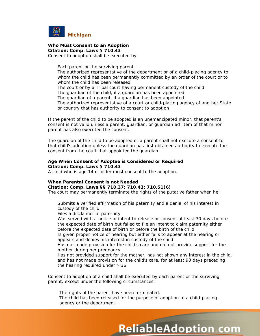

# **Who Must Consent to an Adoption Citation: Comp. Laws § 710.43**

Consent to adoption shall be executed by:

Each parent or the surviving parent The authorized representative of the department or of a child-placing agency to whom the child has been permanently committed by an order of the court or to whom the child has been released The court or by a Tribal court having permanent custody of the child The guardian of the child, if a guardian has been appointed The guardian of a parent, if a guardian has been appointed The authorized representative of a court or child-placing agency of another State or country that has authority to consent to adoption

If the parent of the child to be adopted is an unemancipated minor, that parent's consent is not valid unless a parent, guardian, or guardian *ad litem* of that minor parent has also executed the consent.

The guardian of the child to be adopted or a parent shall not execute a consent to that child's adoption unless the guardian has first obtained authority to execute the consent from the court that appointed the guardian.

#### **Age When Consent of Adoptee is Considered or Required Citation: Comp. Laws § 710.43**

A child who is age 14 or older must consent to the adoption.

## **When Parental Consent is not Needed**

**Citation: Comp. Laws §§ 710.37; 710.43; 710.51(6)**

The court may permanently terminate the rights of the putative father when he:

Submits a verified affirmation of his paternity and a denial of his interest in custody of the child

Files a disclaimer of paternity

Was served with a notice of intent to release or consent at least 30 days before the expected date of birth but failed to file an intent to claim paternity either before the expected date of birth or before the birth of the child

Is given proper notice of hearing but either fails to appear at the hearing or appears and denies his interest in custody of the child

Has not made provision for the child's care and did not provide support for the mother during her pregnancy

Has not provided support for the mother, has not shown any interest in the child, and has not made provision for the child's care, for at least 90 days preceding the hearing required under § 36

Consent to adoption of a child shall be executed by each parent or the surviving parent, except under the following circumstances:

The rights of the parent have been terminated. The child has been released for the purpose of adoption to a child-placing agency or the department.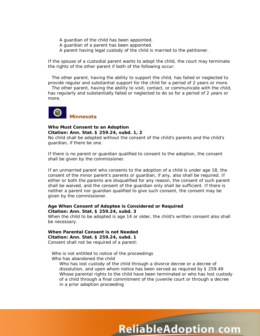A guardian of the child has been appointed.

- A guardian of a parent has been appointed.
- A parent having legal custody of the child is married to the petitioner.

If the spouse of a custodial parent wants to adopt the child, the court may terminate the rights of the other parent if both of the following occur:

The other parent, having the ability to support the child, has failed or neglected to provide regular and substantial support for the child for a period of 2 years or more.

The other parent, having the ability to visit, contact, or communicate with the child, has regularly and substantially failed or neglected to do so for a period of 2 years or more.



#### **Who Must Consent to an Adoption Citation: Ann. Stat. § 259.24, subd. 1, 2**

No child shall be adopted without the consent of the child's parents and the child's guardian, if there be one.

If there is no parent or guardian qualified to consent to the adoption, the consent shall be given by the commissioner.

If an unmarried parent who consents to the adoption of a child is under age 18, the consent of the minor parent's parents or guardian, if any, also shall be required. If either or both the parents are disqualified for any reason, the consent of such parent shall be waived, and the consent of the guardian only shall be sufficient. If there is neither a parent nor guardian qualified to give such consent, the consent may be given by the commissioner.

#### **Age When Consent of Adoptee is Considered or Required Citation: Ann. Stat. § 259.24, subd. 3**

When the child to be adopted is age 14 or older, the child's written consent also shall be necessary.

#### **When Parental Consent is not Needed Citation: Ann. Stat. § 259.24, subd. 1** Consent shall not be required of a parent:

Who is not entitled to notice of the proceedings Who has abandoned the child

Who has lost custody of the child through a divorce decree or a decree of dissolution, and upon whom notice has been served as required by § 259.49 Whose parental rights to the child have been terminated or who has lost custody of a child through a final commitment of the juvenile court or through a decree in a prior adoption proceeding

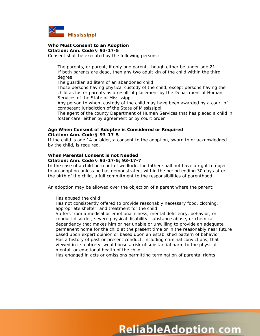

# **Who Must Consent to an Adoption**

**Citation: Ann. Code § 93-17-5**

Consent shall be executed by the following persons:

The parents, or parent, if only one parent, though either be under age 21 If both parents are dead, then any two adult kin of the child within the third degree

The guardian *ad litem* of an abandoned child

Those persons having physical custody of the child, except persons having the child as foster parents as a result of placement by the Department of Human Services of the State of Mississippi

Any person to whom custody of the child may have been awarded by a court of competent jurisdiction of the State of Mississippi

The agent of the county Department of Human Services that has placed a child in foster care, either by agreement or by court order

#### **Age When Consent of Adoptee is Considered or Required Citation: Ann. Code § 93-17-5**

If the child is age 14 or older, a consent to the adoption, sworn to or acknowledged by the child, is required.

#### **When Parental Consent is not Needed Citation: Ann. Code § 93-17-5; 93-17-7**

In the case of a child born out of wedlock, the father shall not have a right to object to an adoption unless he has demonstrated, within the period ending 30 days after the birth of the child, a full commitment to the responsibilities of parenthood.

An adoption may be allowed over the objection of a parent where the parent:

Has abused the child

Has not consistently offered to provide reasonably necessary food, clothing, appropriate shelter, and treatment for the child

Suffers from a medical or emotional illness, mental deficiency, behavior, or conduct disorder, severe physical disability, substance abuse, or chemical dependency that makes him or her unable or unwilling to provide an adequate permanent home for the child at the present time or in the reasonably near future based upon expert opinion or based upon an established pattern of behavior Has a history of past or present conduct, including criminal convictions, that viewed in its entirety, would pose a risk of substantial harm to the physical, mental, or emotional health of the child

Has engaged in acts or omissions permitting termination of parental rights

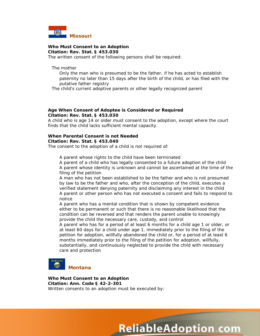

**Who Must Consent to an Adoption Citation: Rev. Stat. § 453.030**

The written consent of the following persons shall be required:

The mother

Only the man who is presumed to be the father, if he has acted to establish paternity no later than 15 days after the birth of the child, or has filed with the putative father registry

The child's current adoptive parents or other legally recognized parent

#### **Age When Consent of Adoptee is Considered or Required Citation: Rev. Stat. § 453.030**

A child who is age 14 or older must consent to the adoption, except where the court finds that the child lacks sufficient mental capacity.

#### **When Parental Consent is not Needed Citation: Rev. Stat. § 453.040**

The consent to the adoption of a child is not required of:

A parent whose rights to the child have been terminated

A parent of a child who has legally consented to a future adoption of the child A parent whose identity is unknown and cannot be ascertained at the time of the filing of the petition

A man who has not been established to be the father and who is not presumed by law to be the father and who, after the conception of the child, executes a verified statement denying paternity and disclaiming any interest in the child A parent or other person who has not executed a consent and fails to respond to notice

A parent who has a mental condition that is shown by competent evidence either to be permanent or such that there is no reasonable likelihood that the condition can be reversed and that renders the parent unable to knowingly provide the child the necessary care, custody, and control

A parent who has for a period of at least 6 months for a child age 1 or older, or at least 60 days for a child under age 1, immediately prior to the filing of the petition for adoption, willfully abandoned the child or, for a period of at least 6 months immediately prior to the filing of the petition for adoption, willfully, substantially, and continuously neglected to provide the child with necessary care and protection



**Who Must Consent to an Adoption Citation: Ann. Code § 42-2-301** Written consents to an adoption must be executed by:

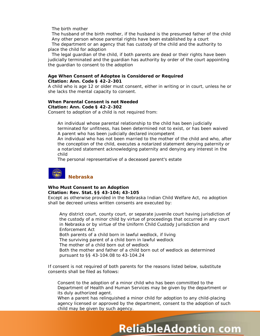The birth mother

The husband of the birth mother, if the husband is the presumed father of the child Any other person whose parental rights have been established by a court

The department or an agency that has custody of the child and the authority to place the child for adoption

The legal guardian of the child, if both parents are dead or their rights have been judicially terminated and the guardian has authority by order of the court appointing the guardian to consent to the adoption

#### **Age When Consent of Adoptee is Considered or Required Citation: Ann. Code § 42-2-301**

A child who is age 12 or older must consent, either in writing or in court, unless he or she lacks the mental capacity to consent.

#### **When Parental Consent is not Needed Citation: Ann. Code § 42-2-302**

Consent to adoption of a child is not required from:

An individual whose parental relationship to the child has been judicially terminated for unfitness, has been determined not to exist, or has been waived A parent who has been judicially declared incompetent

An individual who has not been married to the mother of the child and who, after the conception of the child, executes a notarized statement denying paternity or a notarized statement acknowledging paternity and denying any interest in the child

The personal representative of a deceased parent's estate



## **Who Must Consent to an Adoption Citation: Rev. Stat. §§ 43-104; 43-105**

Except as otherwise provided in the Nebraska Indian Child Welfare Act, no adoption shall be decreed unless written consents are executed by:

Any district court, county court, or separate juvenile court having jurisdiction of the custody of a minor child by virtue of proceedings that occurred in any court in Nebraska or by virtue of the Uniform Child Custody Jurisdiction and Enforcement Act

Both parents of a child born in lawful wedlock, if living

The surviving parent of a child born in lawful wedlock

The mother of a child born out of wedlock

Both the mother and father of a child born out of wedlock as determined pursuant to §§ 43-104.08 to 43-104.24

If consent is not required of both parents for the reasons listed below, substitute consents shall be filed as follows:

Consent to the adoption of a minor child who has been committed to the Department of Health and Human Services may be given by the department or its duly authorized agent.

When a parent has relinquished a minor child for adoption to any child-placing agency licensed or approved by the department, consent to the adoption of such child may be given by such agency.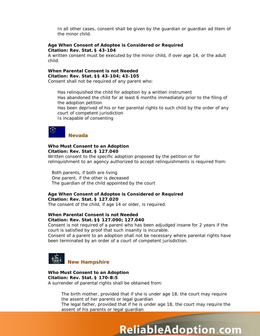In all other cases, consent shall be given by the guardian or guardian *ad litem* of the minor child.

#### **Age When Consent of Adoptee is Considered or Required Citation: Rev. Stat. § 43-104**

A written consent must be executed by the minor child, if over age 14, or the adult child.

# **When Parental Consent is not Needed Citation: Rev. Stat. §§ 43-104; 43-105**

Consent shall not be required of any parent who:

Has relinquished the child for adoption by a written instrument Has abandoned the child for at least 6 months immediately prior to the filing of the adoption petition Has been deprived of his or her parental rights to such child by the order of any court of competent jurisdiction Is incapable of consenting

#### **Nevada**

#### **Who Must Consent to an Adoption Citation: Rev. Stat. § 127.040**

Written consent to the specific adoption proposed by the petition or for relinquishment to an agency authorized to accept relinquishments is required from:

Both parents, if both are living One parent, if the other is deceased The guardian of the child appointed by the court

#### **Age When Consent of Adoptee is Considered or Required Citation: Rev. Stat. § 127.020**

The consent of the child, if age 14 or older, is required.

#### **When Parental Consent is not Needed Citation: Rev. Stat. §§ 127.090; 127.040**

Consent is not required of a parent who has been adjudged insane for 2 years if the court is satisfied by proof that such insanity is incurable.

Consent of a parent to an adoption shall not be necessary where parental rights have been terminated by an order of a court of competent jurisdiction.



**Who Must Consent to an Adoption Citation: Rev. Stat. § 170-B:5**  A surrender of parental rights shall be obtained from:

> The birth mother, provided that if she is under age 18, the court may require the assent of her parents or legal guardian The legal father, provided that if he is under age 18, the court may require the assent of his parents or legal guardian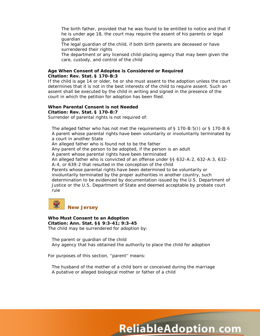The birth father, provided that he was found to be entitled to notice and that if he is under age 18, the court may require the assent of his parents or legal guardian

The legal guardian of the child, if both birth parents are deceased or have surrendered their rights

The department or any licensed child-placing agency that may been given the care, custody, and control of the child

#### **Age When Consent of Adoptee is Considered or Required Citation: Rev. Stat. § 170-B:3**

If the child is age 14 or older, he or she must assent to the adoption unless the court determines that it is not in the best interests of the child to require assent. Such an assent shall be executed by the child in writing and signed in the presence of the court in which the petition for adoption has been filed.

#### **When Parental Consent is not Needed Citation: Rev. Stat. § 170-B:7**

Surrender of parental rights is not required of:

The alleged father who has not met the requirements of § 170-B:5(I) or § 170-B:6 A parent whose parental rights have been voluntarily or involuntarily terminated by a court in another State An alleged father who is found not to be the father Any parent of the person to be adopted, if the person is an adult A parent whose parental rights have been terminated

An alleged father who is convicted of an offense under §§ 632-A:2, 632-A:3, 632-

A:4, or 639:2 that resulted in the conception of the child

Parents whose parental rights have been determined to be voluntarily or involuntarily terminated by the proper authorities in another country, such determination to be evidenced by documentation issued by the U.S. Department of Justice or the U.S. Department of State and deemed acceptable by probate court rule



#### **Who Must Consent to an Adoption Citation: Ann. Stat. §§ 9:3-41; 9:3-45** The child may be surrendered for adoption by:

The parent or guardian of the child Any agency that has obtained the authority to place the child for adoption

For purposes of this section, ''parent'' means:

The husband of the mother of a child born or conceived during the marriage A putative or alleged biological mother or father of a child

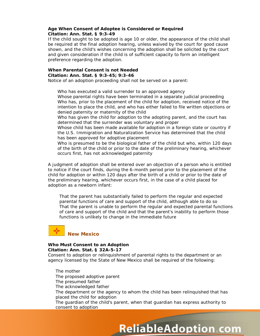#### **Age When Consent of Adoptee is Considered or Required Citation: Ann. Stat. § 9:3-49**

If the child sought to be adopted is age 10 or older, the appearance of the child shall be required at the final adoption hearing, unless waived by the court for good cause shown, and the child's wishes concerning the adoption shall be solicited by the court and given consideration if the child is of sufficient capacity to form an intelligent preference regarding the adoption.

#### **When Parental Consent is not Needed Citation: Ann. Stat. § 9:3-45; 9:3-46**

Notice of an adoption proceeding shall not be served on a parent:

Who has executed a valid surrender to an approved agency

Whose parental rights have been terminated in a separate judicial proceeding Who has, prior to the placement of the child for adoption, received notice of the intention to place the child, and who has either failed to file written objections or denied paternity or maternity of the child

Who has given the child for adoption to the adopting parent, and the court has determined that the surrender was voluntary and proper

Whose child has been made available for adoption in a foreign state or country if the U.S. Immigration and Naturalization Service has determined that the child has been approved for adoptive placement

Who is presumed to be the biological father of the child but who, within 120 days of the birth of the child or prior to the date of the preliminary hearing, whichever occurs first, has not acknowledged paternity

A judgment of adoption shall be entered over an objection of a person who is entitled to notice if the court finds, during the 6-month period prior to the placement of the child for adoption or within 120 days after the birth of a child or prior to the date of the preliminary hearing, whichever occurs first, in the case of a child placed for adoption as a newborn infant:

That the parent has substantially failed to perform the regular and expected parental functions of care and support of the child, although able to do so That the parent is unable to perform the regular and expected parental functions of care and support of the child and that the parent's inability to perform those functions is unlikely to change in the immediate future

# **New Mexico**

#### **Who Must Consent to an Adoption Citation: Ann. Stat. § 32A-5-17**

Consent to adoption or relinquishment of parental rights to the department or an agency licensed by the State of New Mexico shall be required of the following:

The mother The proposed adoptive parent The presumed father The acknowledged father The department or the agency to whom the child has been relinquished that has placed the child for adoption The guardian of the child's parent, when that guardian has express authority to consent to adoption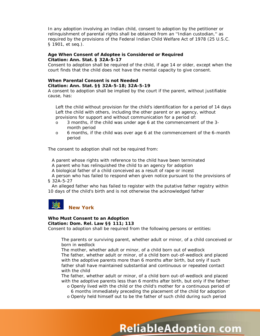In any adoption involving an Indian child, consent to adoption by the petitioner or relinquishment of parental rights shall be obtained from an ''Indian custodian,'' as required by the provisions of the Federal Indian Child Welfare Act of 1978 (25 U.S.C. § 1901, *et seq.*).

## **Age When Consent of Adoptee is Considered or Required Citation: Ann. Stat. § 32A-5-17**

Consent to adoption shall be required of the child, if age 14 or older, except when the court finds that the child does not have the mental capacity to give consent.

# **When Parental Consent is not Needed**

#### **Citation: Ann. Stat. §§ 32A-5-18; 32A-5-19**

A consent to adoption shall be implied by the court if the parent, without justifiable cause, has:

Left the child without provision for the child's identification for a period of 14 days Left the child with others, including the other parent or an agency, without provisions for support and without communication for a period of:

- o 3 months, if the child was under age 6 at the commencement of the 3 month period
- o 6 months, if the child was over age 6 at the commencement of the 6-month period

The consent to adoption shall not be required from:

A parent whose rights with reference to the child have been terminated

A parent who has relinquished the child to an agency for adoption

A biological father of a child conceived as a result of rape or incest

A person who has failed to respond when given notice pursuant to the provisions of § 32A-5-27

An alleged father who has failed to register with the putative father registry within 10 days of the child's birth and is not otherwise the acknowledged father



# **Who Must Consent to an Adoption**

#### **Citation: Dom. Rel. Law §§ 111; 113**

Consent to adoption shall be required from the following persons or entities:

The parents or surviving parent, whether adult or minor, of a child conceived or born in wedlock

The mother, whether adult or minor, of a child born out of wedlock The father, whether adult or minor, of a child born out-of-wedlock and placed with the adoptive parents more than 6 months after birth, but only if such father shall have maintained substantial and continuous or repeated contact with the child

The father, whether adult or minor, of a child born out-of-wedlock and placed with the adoptive parents less than 6 months after birth, but only if the father:

o Openly lived with the child or the child's mother for a continuous period of 6 months immediately preceding the placement of the child for adoption

**ReliableAdoption com** 

o Openly held himself out to be the father of such child during such period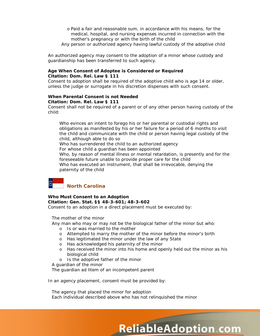- o Paid a fair and reasonable sum, in accordance with his means, for the medical, hospital, and nursing expenses incurred in connection with the mother's pregnancy or with the birth of the child
- Any person or authorized agency having lawful custody of the adoptive child

An authorized agency may consent to the adoption of a minor whose custody and guardianship has been transferred to such agency.

#### **Age When Consent of Adoptee is Considered or Required Citation: Dom. Rel. Law § 111**

Consent to adoption shall be required of the adoptive child who is age 14 or older, unless the judge or surrogate in his discretion dispenses with such consent.

#### **When Parental Consent is not Needed Citation: Dom. Rel. Law § 111**

Consent shall not be required of a parent or of any other person having custody of the child:

Who evinces an intent to forego his or her parental or custodial rights and obligations as manifested by his or her failure for a period of 6 months to visit the child and communicate with the child or person having legal custody of the child, although able to do so

Who has surrendered the child to an authorized agency

For whose child a guardian has been appointed

Who, by reason of mental illness or mental retardation, is presently and for the foreseeable future unable to provide proper care for the child

Who has executed an instrument, that shall be irrevocable, denying the paternity of the child

# **North Carolina**

# **Who Must Consent to an Adoption Citation: Gen. Stat. §§ 48-3-601; 48-3-602**

Consent to an adoption in a direct placement must be executed by:

The mother of the minor

Any man who may or may not be the biological father of the minor but who:

- o Is or was married to the mother
- o Attempted to marry the mother of the minor before the minor's birth
- o Has legitimated the minor under the law of any State
- o Has acknowledged his paternity of the minor
- o Has received the minor into his home and openly held out the minor as his biological child

**ReliableAdoption com** 

o Is the adoptive father of the minor

A guardian of the minor

The guardian *ad litem* of an incompetent parent

In an agency placement, consent must be provided by:

The agency that placed the minor for adoption Each individual described above who has not relinquished the minor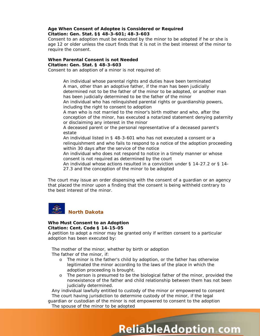#### **Age When Consent of Adoptee is Considered or Required Citation: Gen. Stat. §§ 48-3-601; 48-3-603**

Consent to an adoption must be executed by the minor to be adopted if he or she is age 12 or older unless the court finds that it is not in the best interest of the minor to require the consent.

#### **When Parental Consent is not Needed Citation: Gen. Stat. § 48-3-603**

Consent to an adoption of a minor is not required of:

An individual whose parental rights and duties have been terminated A man, other than an adoptive father, if the man has been judicially determined not to be the father of the minor to be adopted, or another man has been judicially determined to be the father of the minor

An individual who has relinquished parental rights or guardianship powers, including the right to consent to adoption

A man who is not married to the minor's birth mother and who, after the conception of the minor, has executed a notarized statement denying paternity or disclaiming any interest in the minor

A deceased parent or the personal representative of a deceased parent's estate

An individual listed in § 48-3-601 who has not executed a consent or a relinquishment and who fails to respond to a notice of the adoption proceeding within 30 days after the service of the notice

An individual who does not respond to notice in a timely manner or whose consent is not required as determined by the court

An individual whose actions resulted in a conviction under § 14-27.2 or § 14- 27.3 and the conception of the minor to be adopted

The court may issue an order dispensing with the consent of a guardian or an agency that placed the minor upon a finding that the consent is being withheld contrary to the best interest of the minor.



#### **Who Must Consent to an Adoption Citation: Cent. Code § 14-15-05**

A petition to adopt a minor may be granted only if written consent to a particular adoption has been executed by:

The mother of the minor, whether by birth or adoption

The father of the minor, if:

- o The minor is the father's child by adoption, or the father has otherwise legitimated the minor according to the laws of the place in which the adoption proceeding is brought.
- o The person is presumed to be the biological father of the minor, provided the nonexistence of the father and child relationship between them has not been judicially determined.

**ReliableAdoption com** 

Any individual lawfully entitled to custody of the minor or empowered to consent The court having jurisdiction to determine custody of the minor, if the legal

guardian or custodian of the minor is not empowered to consent to the adoption The spouse of the minor to be adopted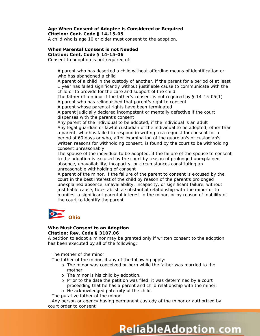#### **Age When Consent of Adoptee is Considered or Required Citation: Cent. Code § 14-15-05**

A child who is age 10 or older must consent to the adoption.

# **When Parental Consent is not Needed**

**Citation: Cent. Code § 14-15-06** Consent to adoption is not required of:

> A parent who has deserted a child without affording means of identification or who has abandoned a child

A parent of a child in the custody of another, if the parent for a period of at least 1 year has failed significantly without justifiable cause to communicate with the child or to provide for the care and support of the child

The father of a minor if the father's consent is not required by § 14-15-05(1) A parent who has relinquished that parent's right to consent

A parent whose parental rights have been terminated

A parent judicially declared incompetent or mentally defective if the court dispenses with the parent's consent

Any parent of the individual to be adopted, if the individual is an adult Any legal guardian or lawful custodian of the individual to be adopted, other than a parent, who has failed to respond in writing to a request for consent for a period of 60 days or who, after examination of the guardian's or custodian's written reasons for withholding consent, is found by the court to be withholding consent unreasonably

The spouse of the individual to be adopted, if the failure of the spouse to consent to the adoption is excused by the court by reason of prolonged unexplained absence, unavailability, incapacity, or circumstances constituting an unreasonable withholding of consent

A parent of the minor, if the failure of the parent to consent is excused by the court in the best interest of the child by reason of the parent's prolonged unexplained absence, unavailability, incapacity, or significant failure, without justifiable cause, to establish a substantial relationship with the minor or to manifest a significant parental interest in the minor, or by reason of inability of the court to identify the parent



#### **Who Must Consent to an Adoption Citation: Rev. Code § 3107.06**

A petition to adopt a minor may be granted only if written consent to the adoption has been executed by all of the following:

The mother of the minor

The father of the minor, if any of the following apply:

- o The minor was conceived or born while the father was married to the mother.
- o The minor is his child by adoption.
- o Prior to the date the petition was filed, it was determined by a court proceeding that he has a parent and child relationship with the minor.
- o He acknowledged paternity of the child.

The putative father of the minor

Any person or agency having permanent custody of the minor or authorized by court order to consent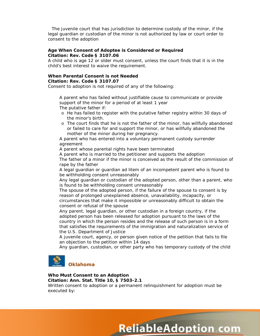The juvenile court that has jurisdiction to determine custody of the minor, if the legal guardian or custodian of the minor is not authorized by law or court order to consent to the adoption

#### **Age When Consent of Adoptee is Considered or Required Citation: Rev. Code § 3107.06**

A child who is age 12 or older must consent, unless the court finds that it is in the child's best interest to waive the requirement.

#### **When Parental Consent is not Needed Citation: Rev. Code § 3107.07**

Consent to adoption is not required of any of the following:

A parent who has failed without justifiable cause to communicate or provide support of the minor for a period of at least 1 year The putative father if:

- o He has failed to register with the putative father registry within 30 days of the minor's birth.
- o The court finds that he is not the father of the minor, has willfully abandoned or failed to care for and support the minor, or has willfully abandoned the mother of the minor during her pregnancy.

A parent who has entered into a voluntary permanent custody surrender agreement

A parent whose parental rights have been terminated

A parent who is married to the petitioner and supports the adoption The father of a minor if the minor is conceived as the result of the commission of rape by the father

A legal guardian or guardian *ad litem* of an incompetent parent who is found to be withholding consent unreasonably

Any legal guardian or custodian of the adopted person, other than a parent, who is found to be withholding consent unreasonably

The spouse of the adopted person, if the failure of the spouse to consent is by reason of prolonged unexplained absence, unavailability, incapacity, or circumstances that make it impossible or unreasonably difficult to obtain the consent or refusal of the spouse

Any parent, legal guardian, or other custodian in a foreign country, if the adopted person has been released for adoption pursuant to the laws of the country in which the person resides and the release of such person is in a form that satisfies the requirements of the immigration and naturalization service of the U.S. Department of Justice

A juvenile court, agency, or person given notice of the petition that fails to file an objection to the petition within 14 days

Any guardian, custodian, or other party who has temporary custody of the child



# **Who Must Consent to an Adoption**

**Citation: Ann. Stat. Title 10, § 7503-2.1**

Written consent to adoption or a permanent relinquishment for adoption must be executed by:

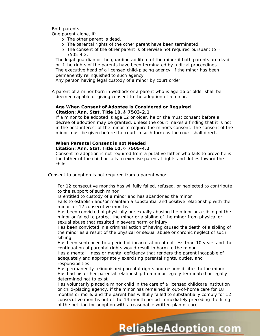#### Both parents

One parent alone, if:

- o The other parent is dead.
- o The parental rights of the other parent have been terminated.
- o The consent of the other parent is otherwise not required pursuant to § 7505-4.2.

The legal guardian or the guardian *ad litem* of the minor if both parents are dead or if the rights of the parents have been terminated by judicial proceedings The executive head of a licensed child-placing agency, if the minor has been permanently relinquished to such agency

Any person having legal custody of a minor by court order

A parent of a minor born in wedlock or a parent who is age 16 or older shall be deemed capable of giving consent to the adoption of a minor.

#### **Age When Consent of Adoptee is Considered or Required Citation: Ann. Stat. Title 10, § 7503-2.1**

If a minor to be adopted is age 12 or older, he or she must consent before a decree of adoption may be granted, unless the court makes a finding that it is not in the best interest of the minor to require the minor's consent. The consent of the minor must be given before the court in such form as the court shall direct.

#### **When Parental Consent is not Needed Citation: Ann. Stat. Title 10, § 7505-4.2**

Consent to adoption is not required from a putative father who fails to prove he is the father of the child or fails to exercise parental rights and duties toward the child.

Consent to adoption is not required from a parent who:

For 12 consecutive months has willfully failed, refused, or neglected to contribute to the support of such minor

Is entitled to custody of a minor and has abandoned the minor

Fails to establish and/or maintain a substantial and positive relationship with the minor for 12 consecutive months

Has been convicted of physically or sexually abusing the minor or a sibling of the minor or failed to protect the minor or a sibling of the minor from physical or sexual abuse that resulted in severe harm or injury

Has been convicted in a criminal action of having caused the death of a sibling of the minor as a result of the physical or sexual abuse or chronic neglect of such sibling

Has been sentenced to a period of incarceration of not less than 10 years and the continuation of parental rights would result in harm to the minor

Has a mental illness or mental deficiency that renders the parent incapable of adequately and appropriately exercising parental rights, duties, and responsibilities

Has permanently relinquished parental rights and responsibilities to the minor Has had his or her parental relationship to a minor legally terminated or legally determined not to exist

Has voluntarily placed a minor child in the care of a licensed childcare institution or child-placing agency, if the minor has remained in out-of-home care for 18 months or more, and the parent has willfully failed to substantially comply for 12 consecutive months out of the 14-month period immediately preceding the filing of the petition for adoption with a reasonable written plan of care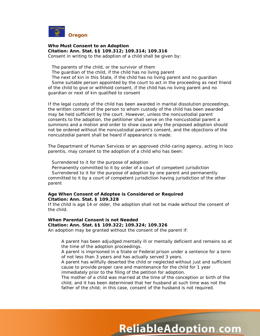

**Who Must Consent to an Adoption Citation: Ann. Stat. §§ 109.312; 109.314; 109.316** Consent in writing to the adoption of a child shall be given by:

The parents of the child, or the survivor of them

The guardian of the child, if the child has no living parent

The next of kin in this State, if the child has no living parent and no guardian Some suitable person appointed by the court to act in the proceeding as next friend of the child to give or withhold consent, if the child has no living parent and no guardian or next of kin qualified to consent

If the legal custody of the child has been awarded in marital dissolution proceedings, the written consent of the person to whom custody of the child has been awarded may be held sufficient by the court. However, unless the noncustodial parent consents to the adoption, the petitioner shall serve on the noncustodial parent a summons and a motion and order to show cause why the proposed adoption should not be ordered without the noncustodial parent's consent, and the objections of the noncustodial parent shall be heard if appearance is made.

The Department of Human Services or an approved child-caring agency, acting *in loco parentis*, may consent to the adoption of a child who has been:

Surrendered to it for the purpose of adoption

Permanently committed to it by order of a court of competent jurisdiction Surrendered to it for the purpose of adoption by one parent and permanently committed to it by a court of competent jurisdiction having jurisdiction of the other parent

#### **Age When Consent of Adoptee is Considered or Required Citation: Ann. Stat. § 109.328**

If the child is age 14 or older, the adoption shall not be made without the consent of the child.

## **When Parental Consent is not Needed Citation: Ann. Stat. §§ 109.322; 109.324; 109.326**

An adoption may be granted without the consent of the parent if:

A parent has been adjudged mentally ill or mentally deficient and remains so at the time of the adoption proceedings.

A parent is imprisoned in a State or Federal prison under a sentence for a term of not less than 3 years and has actually served 3 years.

A parent has willfully deserted the child or neglected without just and sufficient cause to provide proper care and maintenance for the child for 1 year immediately prior to the filing of the petition for adoption.

The mother of a child was married at the time of the conception or birth of the child, and it has been determined that her husband at such time was not the father of the child; in this case, consent of the husband is not required.

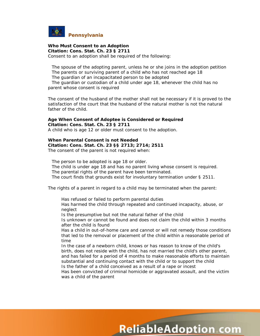

#### **Who Must Consent to an Adoption Citation: Cons. Stat. Ch. 23 § 2711**

Consent to an adoption shall be required of the following:

The spouse of the adopting parent, unless he or she joins in the adoption petition The parents or surviving parent of a child who has not reached age 18 The guardian of an incapacitated person to be adopted

The guardian or custodian of a child under age 18, whenever the child has no parent whose consent is required

The consent of the husband of the mother shall not be necessary if it is proved to the satisfaction of the court that the husband of the natural mother is not the natural father of the child.

#### **Age When Consent of Adoptee is Considered or Required Citation: Cons. Stat. Ch. 23 § 2711**

A child who is age 12 or older must consent to the adoption.

# **When Parental Consent is not Needed Citation: Cons. Stat. Ch. 23 §§ 2713; 2714; 2511**

The consent of the parent is not required when:

The person to be adopted is age 18 or older. The child is under age 18 and has no parent living whose consent is required. The parental rights of the parent have been terminated. The court finds that grounds exist for involuntary termination under § 2511.

The rights of a parent in regard to a child may be terminated when the parent:

Has refused or failed to perform parental duties

Has harmed the child through repeated and continued incapacity, abuse, or neglect

Is the presumptive but not the natural father of the child

Is unknown or cannot be found and does not claim the child within 3 months after the child is found

Has a child in out-of-home care and cannot or will not remedy those conditions that led to the removal or placement of the child within a reasonable period of time

In the case of a newborn child, knows or has reason to know of the child's birth, does not reside with the child, has not married the child's other parent, and has failed for a period of 4 months to make reasonable efforts to maintain substantial and continuing contact with the child or to support the child Is the father of a child conceived as a result of a rape or incest

Has been convicted of criminal homicide or aggravated assault, and the victim was a child of the parent

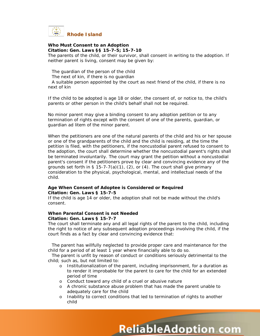

#### **Who Must Consent to an Adoption Citation: Gen. Laws §§ 15-7-5; 15-7-10**

The parents of the child, or their survivor, shall consent in writing to the adoption. If neither parent is living, consent may be given by:

The guardian of the person of the child

The next of kin, if there is no guardian

A suitable person appointed by the court as next friend of the child, if there is no next of kin

If the child to be adopted is age 18 or older, the consent of, or notice to, the child's parents or other person in the child's behalf shall not be required.

No minor parent may give a binding consent to any adoption petition or to any termination of rights except with the consent of one of the parents, guardian, or guardian *ad litem* of the minor parent.

When the petitioners are one of the natural parents of the child and his or her spouse or one of the grandparents of the child and the child is residing, at the time the petition is filed, with the petitioners, if the noncustodial parent refused to consent to the adoption, the court shall determine whether the noncustodial parent's rights shall be terminated involuntarily. The court may grant the petition without a noncustodial parent's consent if the petitioners prove by clear and convincing evidence any of the grounds set forth in § 15-7-7(a)(1), (2), or (4). The court shall give primary consideration to the physical, psychological, mental, and intellectual needs of the child.

#### **Age When Consent of Adoptee is Considered or Required Citation: Gen. Laws § 15-7-5**

If the child is age 14 or older, the adoption shall not be made without the child's consent.

#### **When Parental Consent is not Needed Citation: Gen. Laws § 15-7-7**

The court shall terminate any and all legal rights of the parent to the child, including the right to notice of any subsequent adoption proceedings involving the child, if the court finds as a fact by clear and convincing evidence that:

The parent has willfully neglected to provide proper care and maintenance for the child for a period of at least 1 year where financially able to do so.

The parent is unfit by reason of conduct or conditions seriously detrimental to the child; such as, but not limited to:

- o Institutionalization of the parent, including imprisonment, for a duration as to render it improbable for the parent to care for the child for an extended period of time
- o Conduct toward any child of a cruel or abusive nature
- o A chronic substance abuse problem that has made the parent unable to adequately care for the child
- o Inability to correct conditions that led to termination of rights to another child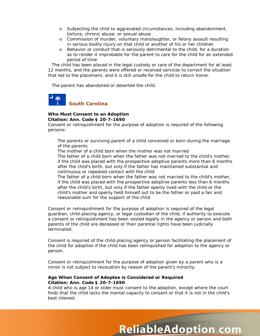- o Subjecting the child to aggravated circumstances, including abandonment, torture, chronic abuse, or sexual abuse
- o Commission of murder, voluntary manslaughter, or felony assault resulting in serious bodily injury on that child or another of his or her children
- o Behavior or conduct that is seriously detrimental to the child, for a duration as to render it improbable for the parent to care for the child for an extended period of time

The child has been placed in the legal custody or care of the department for at least 12 months, and the parents were offered or received services to correct the situation that led to the placement, and it is still unsafe for the child to return home.

The parent has abandoned or deserted the child.



#### **Who Must Consent to an Adoption Citation: Ann. Code § 20-7-1690**

Consent or relinquishment for the purpose of adoption is required of the following persons:

The parents or surviving parent of a child conceived or born during the marriage of the parents

The mother of a child born when the mother was not married The father of a child born when the father was not married to the child's mother, if the child was placed with the prospective adoptive parents more than 6 months after the child's birth, but only if the father has maintained substantial and continuous or repeated contact with the child

The father of a child born when the father was not married to the child's mother, if the child was placed with the prospective adoptive parents less than 6 months after the child's birth, but only if the father openly lived with the child or the child's mother and openly held himself out to be the father or paid a fair and reasonable sum for the support of the child

Consent or relinquishment for the purpose of adoption is required of the legal guardian, child-placing agency, or legal custodian of the child, if authority to execute a consent or relinquishment has been vested legally in the agency or person and both parents of the child are deceased or their parental rights have been judicially terminated.

Consent is required of the child-placing agency or person facilitating the placement of the child for adoption if the child has been relinquished for adoption to the agency or person.

Consent or relinquishment for the purpose of adoption given by a parent who is a minor is not subject to revocation by reason of the parent's minority.

#### **Age When Consent of Adoptee is Considered or Required Citation: Ann. Code § 20-7-1690**

A child who is age 14 or older must consent to the adoption, except where the court finds that the child lacks the mental capacity to consent or that it is not in the child's best interest.

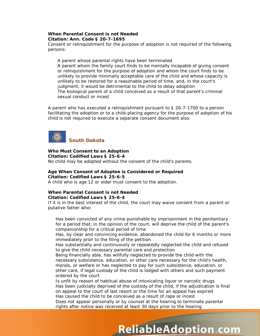#### **When Parental Consent is not Needed Citation: Ann. Code § 20-7-1695**

Consent or relinquishment for the purpose of adoption is not required of the following persons:

A parent whose parental rights have been terminated A parent whom the family court finds to be mentally incapable of giving consent or relinquishment for the purpose of adoption and whom the court finds to be unlikely to provide minimally acceptable care of the child and whose capacity is unlikely to be restored for a reasonable period of time, and, in the court's judgment, it would be detrimental to the child to delay adoption The biological parent of a child conceived as a result of that parent's criminal sexual conduct or incest

A parent who has executed a relinquishment pursuant to § 20-7-1700 to a person facilitating the adoption or to a child-placing agency for the purpose of adoption of his child is not required to execute a separate consent document also.



**Who Must Consent to an Adoption Citation: Codified Laws § 25-6-4** No child may be adopted without the consent of the child's parents.

#### **Age When Consent of Adoptee is Considered or Required Citation: Codified Laws § 25-6-5**

A child who is age 12 or older must consent to the adoption.

#### **When Parental Consent is not Needed Citation: Codified Laws § 25-6-4**

If it is in the best interest of the child, the court may waive consent from a parent or putative father who:

Has been convicted of any crime punishable by imprisonment in the penitentiary for a period that, in the opinion of the court, will deprive the child of the parent's companionship for a critical period of time

Has, by clear and convincing evidence, abandoned the child for 6 months or more immediately prior to the filing of the petition

Has substantially and continuously or repeatedly neglected the child and refused to give the child necessary parental care and protection

Being financially able, has willfully neglected to provide the child with the necessary subsistence, education, or other care necessary for the child's health, morals, or welfare or has neglected to pay for such subsistence, education, or other care, if legal custody of the child is lodged with others and such payment ordered by the court

Is unfit by reason of habitual abuse of intoxicating liquor or narcotic drugs Has been judicially deprived of the custody of the child, if the adjudication is final on appeal to the court of last resort or the time for an appeal has expired Has caused the child to be conceived as a result of rape or incest

**ReliableAdoption com** 

Does not appear personally or by counsel at the hearing to terminate parental rights after notice was received at least 30 days prior to the hearing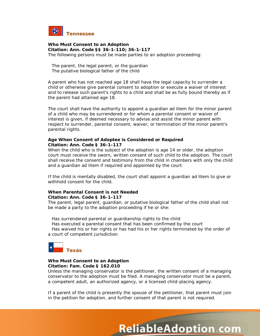

**Who Must Consent to an Adoption Citation: Ann. Code §§ 36-1-110; 36-1-117** The following persons must be made parties to an adoption proceeding:

The parent, the legal parent, or the guardian The putative biological father of the child

A parent who has not reached age 18 shall have the legal capacity to surrender a child or otherwise give parental consent to adoption or execute a waiver of interest and to release such parent's rights to a child and shall be as fully bound thereby as if the parent had attained age 18.

The court shall have the authority to appoint a guardian *ad litem* for the minor parent of a child who may be surrendered or for whom a parental consent or waiver of interest is given, if deemed necessary to advise and assist the minor parent with respect to surrender, parental consent, waiver, or termination of the minor parent's parental rights.

#### **Age When Consent of Adoptee is Considered or Required Citation: Ann. Code § 36-1-117**

When the child who is the subject of the adoption is age 14 or older, the adoption court must receive the sworn, written consent of such child to the adoption. The court shall receive the consent and testimony from the child in chambers with only the child and a guardian *ad litem* if required and appointed by the court.

If the child is mentally disabled, the court shall appoint a guardian *ad litem* to give or withhold consent for the child.

#### **When Parental Consent is not Needed Citation: Ann. Code § 36-1-117**

The parent, legal parent, guardian, or putative biological father of the child shall not be made a party to the adoption proceeding if he or she:

Has surrendered parental or guardianship rights to the child

Has executed a parental consent that has been confirmed by the court

Has waived his or her rights or has had his or her rights terminated by the order of a court of competent jurisdiction



#### **Who Must Consent to an Adoption Citation: Fam. Code § 162.010**

Unless the managing conservator is the petitioner, the written consent of a managing conservator to the adoption must be filed. A managing conservator must be a parent, a competent adult, an authorized agency, or a licensed child-placing agency.

If a parent of the child is presently the spouse of the petitioner, that parent must join in the petition for adoption, and further consent of that parent is not required.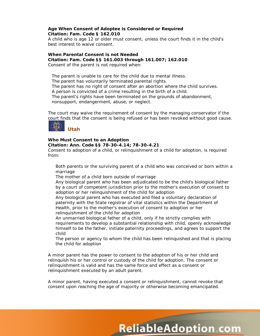#### **Age When Consent of Adoptee is Considered or Required Citation: Fam. Code § 162.010**

A child who is age 12 or older must consent, unless the court finds it in the child's best interest to waive consent.

#### **When Parental Consent is not Needed Citation: Fam. Code §§ 161.003 through 161.007; 162.010** Consent of the parent is not required when:

The parent is unable to care for the child due to mental illness. The parent has voluntarily terminated parental rights. The parent has no right of consent after an abortion where the child survives. A person is convicted of a crime resulting in the birth of a child. The parent's rights have been terminated on the grounds of abandonment, nonsupport, endangerment, abuse, or neglect.

The court may waive the requirement of consent by the managing conservator if the court finds that the consent is being refused or has been revoked without good cause.



# **Who Must Consent to an Adoption**

#### **Citation: Ann. Code §§ 78-30-4.14; 78-30-4.21**

Consent to adoption of a child, or relinquishment of a child for adoption, is required from:

Both parents or the surviving parent of a child who was conceived or born within a marriage

The mother of a child born outside of marriage

Any biological parent who has been adjudicated to be the child's biological father by a court of competent jurisdiction prior to the mother's execution of consent to adoption or her relinquishment of the child for adoption

Any biological parent who has executed and filed a voluntary declaration of paternity with the State registrar of vital statistics within the Department of Health, prior to the mother's execution of consent to adoption or her relinquishment of the child for adoption

An unmarried biological father of a child, only if he strictly complies with requirements to develop a substantial relationship with child, openly acknowledge himself to be the father, initiate paternity proceedings, and agrees to support the child

The person or agency to whom the child has been relinquished and that is placing the child for adoption

A minor parent has the power to consent to the adoption of his or her child and relinquish his or her control or custody of the child for adoption. The consent or relinquishment is valid and has the same force and effect as a consent or relinquishment executed by an adult parent.

A minor parent, having executed a consent or relinquishment, cannot revoke that consent upon reaching the age of majority or otherwise becoming emancipated.

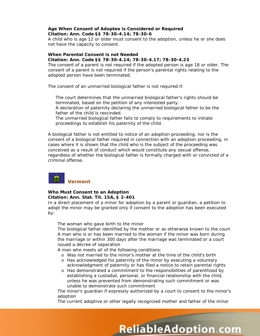#### **Age When Consent of Adoptee is Considered or Required Citation: Ann. Code §§ 78-30-4.14; 78-30-6**

A child who is age 12 or older must consent to the adoption, unless he or she does not have the capacity to consent.

#### **When Parental Consent is not Needed**

#### **Citation: Ann. Code §§ 78-30-4.14; 78-30-4.17; 78-30-4.23**

The consent of a parent is not required if the adopted person is age 18 or older. The consent of a parent is not required if the person's parental rights relating to the adopted person have been terminated.

The consent of an unmarried biological father is not required if:

The court determines that the unmarried biological father's rights should be terminated, based on the petition of any interested party. A declaration of paternity declaring the unmarried biological father to be the father of the child is rescinded.

The unmarried biological father fails to comply to requirements to initiate proceedings to establish his paternity of the child.

A biological father is not entitled to notice of an adoption proceeding, nor is the consent of a biological father required in connection with an adoption proceeding, in cases where it is shown that the child who is the subject of the proceeding was conceived as a result of conduct which would constitute any sexual offense, regardless of whether the biological father is formally charged with or convicted of a criminal offense.

# **Vermont**

#### **Who Must Consent to an Adoption**

#### **Citation: Ann. Stat. Tit. 15A, § 2-401**

In a direct placement of a minor for adoption by a parent or guardian, a petition to adopt the minor may be granted only if consent to the adoption has been executed by:

The woman who gave birth to the minor

The biological father identified by the mother or as otherwise known to the court A man who is or has been married to the woman if the minor was born during the marriage or within 300 days after the marriage was terminated or a court issued a decree of separation

A man who meets all of the following conditions:

- o Was not married to the minor's mother at the time of the child's birth
- o Has acknowledged his paternity of the minor by executing a voluntary acknowledgment of paternity or has filed a notice to retain parental rights
- o Has demonstrated a commitment to the responsibilities of parenthood by establishing a custodial, personal, or financial relationship with the child, unless he was prevented from demonstrating such commitment or was unable to demonstrate such commitment

The minor's guardian if expressly authorized by a court to consent to the minor's adoption

The current adoptive or other legally recognized mother and father of the minor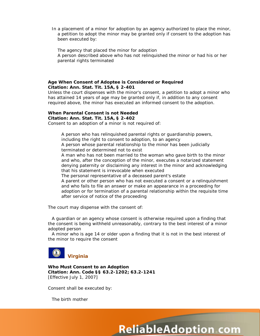In a placement of a minor for adoption by an agency authorized to place the minor, a petition to adopt the minor may be granted only if consent to the adoption has been executed by:

The agency that placed the minor for adoption A person described above who has not relinquished the minor or had his or her parental rights terminated

#### **Age When Consent of Adoptee is Considered or Required Citation: Ann. Stat. Tit. 15A, § 2-401**

Unless the court dispenses with the minor's consent, a petition to adopt a minor who has attained 14 years of age may be granted only if, in addition to any consent required above, the minor has executed an informed consent to the adoption.

## **When Parental Consent is not Needed**

**Citation: Ann. Stat. Tit. 15A, § 2-402**

Consent to an adoption of a minor is not required of:

A person who has relinquished parental rights or guardianship powers, including the right to consent to adoption, to an agency

A person whose parental relationship to the minor has been judicially terminated or determined not to exist

A man who has not been married to the woman who gave birth to the minor and who, after the conception of the minor, executes a notarized statement denying paternity or disclaiming any interest in the minor and acknowledging that his statement is irrevocable when executed

The personal representative of a deceased parent's estate

A parent or other person who has not executed a consent or a relinquishment and who fails to file an answer or make an appearance in a proceeding for adoption or for termination of a parental relationship within the requisite time after service of notice of the proceeding

The court may dispense with the consent of:

A guardian or an agency whose consent is otherwise required upon a finding that the consent is being withheld unreasonably, contrary to the best interest of a minor adopted person

A minor who is age 14 or older upon a finding that it is not in the best interest of the minor to require the consent

**ReliableAdoption com** 



**Who Must Consent to an Adoption Citation: Ann. Code §§ 63.2-1202; 63.2-1241** *[Effective July 1, 2007]*

Consent shall be executed by:

The birth mother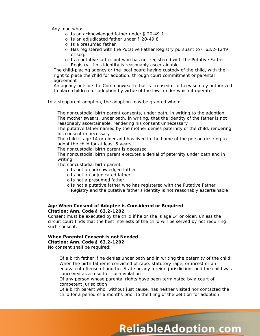Any man who:

- o Is an acknowledged father under § 20-49.1
- o Is an adjudicated father under § 20-49.8
- o Is a presumed father
- o Has registered with the Putative Father Registry pursuant to § 63.2-1249 *et seq.*
- o Is a putative father but who has not registered with the Putative Father Registry, if his identity is reasonably ascertainable

The child-placing agency or the local board having custody of the child, with the right to place the child for adoption, through court commitment or parental agreement

An agency outside the Commonwealth that is licensed or otherwise duly authorized to place children for adoption by virtue of the laws under which it operates

In a stepparent adoption, the adoption may be granted when:

The noncustodial birth parent consents, under oath, in writing to the adoption The mother swears, under oath, in writing, that the identity of the father is not reasonably ascertainable, rendering his consent unnecessary

The putative father named by the mother denies paternity of the child, rendering his consent unnecessary

The child is age 14 or older and has lived in the home of the person desiring to adopt the child for at least 5 years

The noncustodial birth parent is deceased

The noncustodial birth parent executes a denial of paternity under oath and in writing

The noncustodial birth parent:

- o Is not an acknowledged father
- o Is not an adjudicated father
- o Is not a presumed father
- o Is not a putative father who has registered with the Putative Father Registry and the putative father's identity is not reasonably ascertainable

#### **Age When Consent of Adoptee is Considered or Required Citation: Ann. Code § 63.2-1202**

Consent must be executed by the child if he or she is age 14 or older, unless the circuit court finds that the best interests of the child will be served by not requiring such consent.

#### **When Parental Consent is not Needed Citation: Ann. Code § 63.2-1202**

No consent shall be required:

Of a birth father if he denies under oath and in writing the paternity of the child When the birth father is convicted of rape, statutory rape, or incest or an equivalent offense of another State or any foreign jurisdiction, and the child was conceived as a result of such violation

Of any person whose parental rights have been terminated by a court of competent jurisdiction

Of a birth parent who, without just cause, has neither visited nor contacted the child for a period of 6 months prior to the filing of the petition for adoption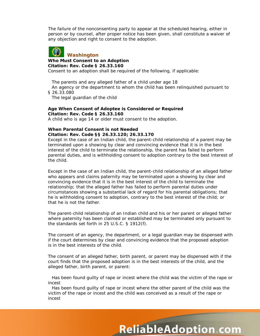The failure of the nonconsenting party to appear at the scheduled hearing, either in person or by counsel, after proper notice has been given, shall constitute a waiver of any objection and right to consent to the adoption.



#### **Who Must Consent to an Adoption**

#### **Citation: Rev. Code § 26.33.160**

Consent to an adoption shall be required of the following, if applicable:

The parents and any alleged father of a child under age 18

An agency or the department to whom the child has been relinquished pursuant to § 26.33.080

The legal guardian of the child

#### **Age When Consent of Adoptee is Considered or Required Citation: Rev. Code § 26.33.160**

A child who is age 14 or older must consent to the adoption.

#### **When Parental Consent is not Needed Citation: Rev. Code §§ 26.33.120; 26.33.170**

Except in the case of an Indian child, the parent-child relationship of a parent may be terminated upon a showing by clear and convincing evidence that it is in the best interest of the child to terminate the relationship, the parent has failed to perform parental duties, and is withholding consent to adoption contrary to the best interest of the child.

Except in the case of an Indian child, the parent-child relationship of an alleged father who appears and claims paternity may be terminated upon a showing by clear and convincing evidence that it is in the best interest of the child to terminate the relationship; that the alleged father has failed to perform parental duties under circumstances showing a substantial lack of regard for his parental obligations; that he is withholding consent to adoption, contrary to the best interest of the child; or that he is not the father.

The parent-child relationship of an Indian child and his or her parent or alleged father where paternity has been claimed or established may be terminated only pursuant to the standards set forth in 25 U.S.C. § 1912(f).

The consent of an agency, the department, or a legal guardian may be dispensed with if the court determines by clear and convincing evidence that the proposed adoption is in the best interests of the child.

The consent of an alleged father, birth parent, or parent may be dispensed with if the court finds that the proposed adoption is in the best interests of the child, and the alleged father, birth parent, or parent:

Has been found guilty of rape or incest where the child was the victim of the rape or incest

Has been found guilty of rape or incest where the other parent of the child was the victim of the rape or incest and the child was conceived as a result of the rape or incest

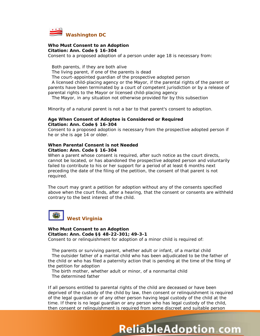

#### **Who Must Consent to an Adoption Citation: Ann. Code § 16-304**

Consent to a proposed adoption of a person under age 18 is necessary from:

Both parents, if they are both alive

The living parent, if one of the parents is dead

The court-appointed guardian of the prospective adopted person

A licensed child-placing agency or the Mayor, if the parental rights of the parent or parents have been terminated by a court of competent jurisdiction or by a release of parental rights to the Mayor or licensed child-placing agency

The Mayor, in any situation not otherwise provided for by this subsection

Minority of a natural parent is not a bar to that parent's consent to adoption.

#### **Age When Consent of Adoptee is Considered or Required Citation: Ann. Code § 16-304**

Consent to a proposed adoption is necessary from the prospective adopted person if he or she is age 14 or older.

#### **When Parental Consent is not Needed Citation: Ann. Code § 16-304**

When a parent whose consent is required, after such notice as the court directs, cannot be located, or has abandoned the prospective adopted person and voluntarily failed to contribute to his or her support for a period of at least 6 months next preceding the date of the filing of the petition, the consent of that parent is not required.

The court may grant a petition for adoption without any of the consents specified above when the court finds, after a hearing, that the consent or consents are withheld contrary to the best interest of the child.



#### **Who Must Consent to an Adoption Citation: Ann. Code §§ 48-22-301; 49-3-1**

Consent to or relinquishment for adoption of a minor child is required of:

The parents or surviving parent, whether adult or infant, of a marital child The outsider father of a marital child who has been adjudicated to be the father of the child or who has filed a paternity action that is pending at the time of the filing of the petition for adoption

The birth mother, whether adult or minor, of a nonmarital child The determined father

If all persons entitled to parental rights of the child are deceased or have been deprived of the custody of the child by law, then consent or relinquishment is required of the legal guardian or of any other person having legal custody of the child at the time. If there is no legal guardian or any person who has legal custody of the child, then consent or relinquishment is required from some discreet and suitable person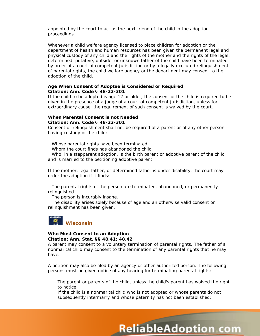appointed by the court to act as the next friend of the child in the adoption proceedings.

Whenever a child welfare agency licensed to place children for adoption or the department of health and human resources has been given the permanent legal and physical custody of any child and the rights of the mother and the rights of the legal, determined, putative, outside, or unknown father of the child have been terminated by order of a court of competent jurisdiction or by a legally executed relinquishment of parental rights, the child welfare agency or the department may consent to the adoption of the child.

#### **Age When Consent of Adoptee is Considered or Required Citation: Ann. Code § 48-22-301**

If the child to be adopted is age 12 or older, the consent of the child is required to be given in the presence of a judge of a court of competent jurisdiction, unless for extraordinary cause, the requirement of such consent is waived by the court.

#### **When Parental Consent is not Needed Citation: Ann. Code § 48-22-301**

Consent or relinquishment shall not be required of a parent or of any other person having custody of the child:

Whose parental rights have been terminated

Whom the court finds has abandoned the child

Who, in a stepparent adoption, is the birth parent or adoptive parent of the child and is married to the petitioning adoptive parent

If the mother, legal father, or determined father is under disability, the court may order the adoption if it finds:

The parental rights of the person are terminated, abandoned, or permanently relinquished.

The person is incurably insane.

The disability arises solely because of age and an otherwise valid consent or relinquishment has been given.



#### **Who Must Consent to an Adoption Citation: Ann. Stat. §§ 48.41; 48.42**

A parent may consent to a voluntary termination of parental rights. The father of a nonmarital child may consent to the termination of any parental rights that he may have.

A petition may also be filed by an agency or other authorized person. The following persons must be given notice of any hearing for terminating parental rights:

The parent or parents of the child, unless the child's parent has waived the right to notice

**ReliableAdoption com** 

If the child is a nonmarital child who is not adopted or whose parents do not subsequently intermarry and whose paternity has not been established: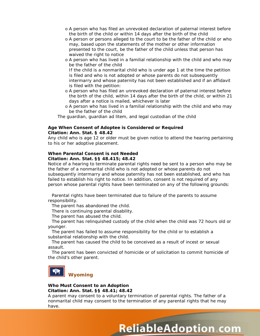- o A person who has filed an unrevoked declaration of paternal interest before the birth of the child or within 14 days after the birth of the child
- o A person or persons alleged to the court to be the father of the child or who may, based upon the statements of the mother or other information presented to the court, be the father of the child unless that person has waived the right to notice
- o A person who has lived in a familial relationship with the child and who may be the father of the child

If the child is a nonmarital child who is under age 1 at the time the petition is filed and who is not adopted or whose parents do not subsequently intermarry and whose paternity has not been established and if an affidavit is filed with the petition:

- o A person who has filed an unrevoked declaration of paternal interest before the birth of the child, within 14 days after the birth of the child, or within 21 days after a notice is mailed, whichever is later
- o A person who has lived in a familial relationship with the child and who may be the father of the child

The guardian, guardian *ad litem*, and legal custodian of the child

#### **Age When Consent of Adoptee is Considered or Required Citation: Ann. Stat. § 48.42**

Any child who is age 12 or older must be given notice to attend the hearing pertaining to his or her adoptive placement.

#### **When Parental Consent is not Needed Citation: Ann. Stat. §§ 48.415; 48.42**

Notice of a hearing to terminate parental rights need be sent to a person who may be the father of a nonmarital child who is not adopted or whose parents do not subsequently intermarry and whose paternity has not been established, and who has failed to establish his right to notice. In addition, consent is not required of any person whose parental rights have been terminated on any of the following grounds:

Parental rights have been terminated due to failure of the parents to assume responsibility.

The parent has abandoned the child.

There is continuing parental disability.

The parent has abused the child.

The parent has relinquished custody of the child when the child was 72 hours old or younger.

The parent has failed to assume responsibility for the child or to establish a substantial relationship with the child.

The parent has caused the child to be conceived as a result of incest or sexual assault.

The parent has been convicted of homicide or of solicitation to commit homicide of the child's other parent.



#### **Who Must Consent to an Adoption Citation: Ann. Stat. §§ 48.41; 48.42**

A parent may consent to a voluntary termination of parental rights. The father of a nonmarital child may consent to the termination of any parental rights that he may have.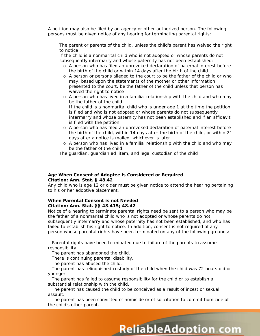A petition may also be filed by an agency or other authorized person. The following persons must be given notice of any hearing for terminating parental rights:

The parent or parents of the child, unless the child's parent has waived the right to notice

If the child is a nonmarital child who is not adopted or whose parents do not subsequently intermarry and whose paternity has not been established:

- o A person who has filed an unrevoked declaration of paternal interest before the birth of the child or within 14 days after the birth of the child
- o A person or persons alleged to the court to be the father of the child or who may, based upon the statements of the mother or other information presented to the court, be the father of the child unless that person has waived the right to notice
- o A person who has lived in a familial relationship with the child and who may be the father of the child If the child is a nonmarital child who is under age 1 at the time the petition is filed and who is not adopted or whose parents do not subsequently intermarry and whose paternity has not been established and if an affidavit is filed with the petition:
- o A person who has filed an unrevoked declaration of paternal interest before the birth of the child, within 14 days after the birth of the child, or within 21 days after a notice is mailed, whichever is later
- o A person who has lived in a familial relationship with the child and who may be the father of the child

The guardian, guardian *ad litem*, and legal custodian of the child

#### **Age When Consent of Adoptee is Considered or Required Citation: Ann. Stat. § 48.42**

Any child who is age 12 or older must be given notice to attend the hearing pertaining to his or her adoptive placement.

#### **When Parental Consent is not Needed Citation: Ann. Stat. §§ 48.415; 48.42**

Notice of a hearing to terminate parental rights need be sent to a person who may be the father of a nonmarital child who is not adopted or whose parents do not subsequently intermarry and whose paternity has not been established, and who has failed to establish his right to notice. In addition, consent is not required of any person whose parental rights have been terminated on any of the following grounds:

Parental rights have been terminated due to failure of the parents to assume responsibility.

The parent has abandoned the child.

There is continuing parental disability.

The parent has abused the child.

The parent has relinquished custody of the child when the child was 72 hours old or younger.

The parent has failed to assume responsibility for the child or to establish a substantial relationship with the child.

The parent has caused the child to be conceived as a result of incest or sexual assault.

The parent has been convicted of homicide or of solicitation to commit homicide of the child's other parent.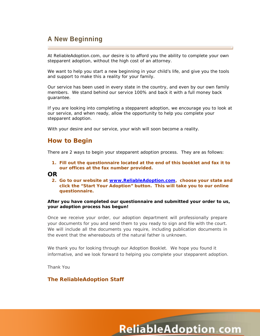# **A New Beginning**

At ReliableAdoption.com, our desire is to afford you the ability to complete your own stepparent adoption, without the high cost of an attorney.

We want to help you start a new beginning in your child's life, and give you the tools and support to make this a reality for your family.

Our service has been used in every state in the country, and even by our own family members. We stand behind our service 100% and back it with a full money back guarantee.

If you are looking into completing a stepparent adoption, we encourage you to look at our service, and when ready, allow the opportunity to help you complete your stepparent adoption.

With your desire and our service, your wish will soon become a reality.

## **How to Begin**

There are 2 ways to begin your stepparent adoption process. They are as follows:

**1. Fill out the questionnaire located at the end of this booklet and fax it to our offices at the fax number provided.** 

## **OR**

**2. Go to our website at [www.ReliableAdoption.com,](http://www.reliableadoption.com/) choose your state and click the "Start Your Adoption" button. This will take you to our online questionnaire.**

#### **After you have completed our questionnaire and submitted your order to us, your adoption process has begun!**

Once we receive your order, our adoption department will professionally prepare your documents for you and send them to you ready to sign and file with the court. We will include all the documents you require, including publication documents in the event that the whereabouts of the natural father is unknown.

We thank you for looking through our Adoption Booklet. We hope you found it informative, and we look forward to helping you complete your stepparent adoption.

Thank You

## **The ReliableAdoption Staff**

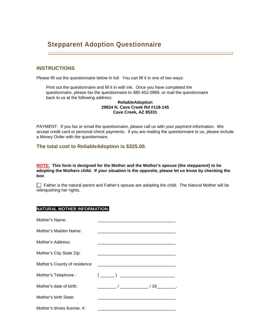# **Stepparent Adoption Questionnaire**

## **INSTRUCTIONS**

Please fill out the questionnaire below in full. You can fill it in one of two ways:

Print out the questionnaire and fill it in with ink. Once you have completed the questionnaire, please fax the questionnaire to 480-452-0969, or mail the questionnaire back to us at the following address:

#### **ReliableAdoption 29834 N. Cave Creek Rd #118-145 Cave Creek, AZ 85331**

PAYMENT: If you fax or email the questionnaire, please call us with your payment information. We accept credit card or personal check payments. If you are mailing the questionnaire to us, please include a Money Order with the questionnaire.

**The total cost to ReliableAdoption is \$325.00.**

**NOTE: This form is designed for the Mother and the Mother's spouse (the stepparent) to be adopting the Mothers child. If your situation is the opposite, please let us know by checking the box below:**

 $\Box$  Father is the natural parent and Father's spouse are adopting the child. The Natural Mother will be relinquishing her rights.

## **NATURAL MOTHER INFORMATION:**

| Mother's Name:               |                                                                                                                                                                                                                                                                                                                                                                     |
|------------------------------|---------------------------------------------------------------------------------------------------------------------------------------------------------------------------------------------------------------------------------------------------------------------------------------------------------------------------------------------------------------------|
| Mother's Maiden Name:        |                                                                                                                                                                                                                                                                                                                                                                     |
| Mother's Address:            |                                                                                                                                                                                                                                                                                                                                                                     |
| Mother's City State Zip:     | <u> 1980 - Jan James James Barnett, fransk politik (d. 1980)</u>                                                                                                                                                                                                                                                                                                    |
| Mother's County of residence | <u> 1980 - Jan James James Barnett, fransk politik (d. 1980)</u>                                                                                                                                                                                                                                                                                                    |
| Mother's Telephone:          | $\begin{picture}(20,10) \put(0,0){\vector(1,0){100}} \put(15,0){\vector(1,0){100}} \put(15,0){\vector(1,0){100}} \put(15,0){\vector(1,0){100}} \put(15,0){\vector(1,0){100}} \put(15,0){\vector(1,0){100}} \put(15,0){\vector(1,0){100}} \put(15,0){\vector(1,0){100}} \put(15,0){\vector(1,0){100}} \put(15,0){\vector(1,0){100}} \put(15,0){\vector(1,0){100}} \$ |
| Mother's date of birth:      |                                                                                                                                                                                                                                                                                                                                                                     |
| Mother's birth State:        |                                                                                                                                                                                                                                                                                                                                                                     |
| Mother's drives license. #:  |                                                                                                                                                                                                                                                                                                                                                                     |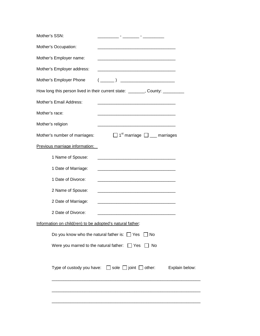| Mother's SSN:                                             |                                                                                                                                                                                                                                                                                                                                                                     |
|-----------------------------------------------------------|---------------------------------------------------------------------------------------------------------------------------------------------------------------------------------------------------------------------------------------------------------------------------------------------------------------------------------------------------------------------|
| Mother's Occupation:                                      | <u> 1989 - Johann Barbara, martin da basar da basar da basar da basar da basar da basar da basar da basar da basa</u>                                                                                                                                                                                                                                               |
| Mother's Employer name:                                   |                                                                                                                                                                                                                                                                                                                                                                     |
| Mother's Employer address:                                | <u> 1980 - Jan James James Barnett, amerikan bizko hamarkada (h. 1980).</u>                                                                                                                                                                                                                                                                                         |
| Mother's Employer Phone                                   | $\begin{picture}(20,10) \put(0,0){\vector(1,0){100}} \put(15,0){\vector(1,0){100}} \put(15,0){\vector(1,0){100}} \put(15,0){\vector(1,0){100}} \put(15,0){\vector(1,0){100}} \put(15,0){\vector(1,0){100}} \put(15,0){\vector(1,0){100}} \put(15,0){\vector(1,0){100}} \put(15,0){\vector(1,0){100}} \put(15,0){\vector(1,0){100}} \put(15,0){\vector(1,0){100}} \$ |
|                                                           | How long this person lived in their current state: _______, County: _________                                                                                                                                                                                                                                                                                       |
| Mother's Email Address:                                   |                                                                                                                                                                                                                                                                                                                                                                     |
| Mother's race:                                            |                                                                                                                                                                                                                                                                                                                                                                     |
| Mother's religion                                         |                                                                                                                                                                                                                                                                                                                                                                     |
| Mother's number of marriages:                             | $\Box$ 1 <sup>st</sup> marriage $\Box$ marriages                                                                                                                                                                                                                                                                                                                    |
| Previous marriage information:                            |                                                                                                                                                                                                                                                                                                                                                                     |
| 1 Name of Spouse:                                         |                                                                                                                                                                                                                                                                                                                                                                     |
| 1 Date of Marriage:                                       |                                                                                                                                                                                                                                                                                                                                                                     |
| 1 Date of Divorce:                                        | <u> 1980 - Johann Barn, mars ann an t-Amhain Aonaich an t-Aonaich an t-Aonaich ann an t-Aonaich ann an t-Aonaich</u>                                                                                                                                                                                                                                                |
| 2 Name of Spouse:                                         |                                                                                                                                                                                                                                                                                                                                                                     |
| 2 Date of Marriage:                                       |                                                                                                                                                                                                                                                                                                                                                                     |
| 2 Date of Divorce:                                        |                                                                                                                                                                                                                                                                                                                                                                     |
| Information on child(ren) to be adopted's natural father: |                                                                                                                                                                                                                                                                                                                                                                     |
| Do you know who the natural father is: $\Box$ Yes         | ∣∣No                                                                                                                                                                                                                                                                                                                                                                |
| Were you marred to the natural father: $\Box$ Yes         | $\Box$ No                                                                                                                                                                                                                                                                                                                                                           |
|                                                           | Type of custody you have: $\Box$ sole $\Box$ joint $\Box$ other:<br>Explain below:                                                                                                                                                                                                                                                                                  |
|                                                           |                                                                                                                                                                                                                                                                                                                                                                     |
|                                                           |                                                                                                                                                                                                                                                                                                                                                                     |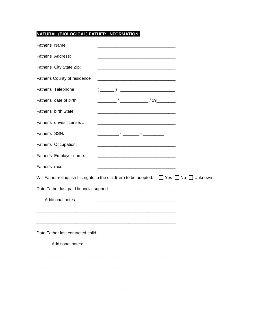## **NATURAL (BIOLOGICAL) FATHER INFORMATION:**

| Father's Name:               |                                                                                                                       |  |
|------------------------------|-----------------------------------------------------------------------------------------------------------------------|--|
| Father's Address:            |                                                                                                                       |  |
| Father's City State Zip:     | <u> 1980 - Johann Barbara, martin da basar da basar da basar da basar da basar da basar da basar da basar da basa</u> |  |
| Father's County of residence |                                                                                                                       |  |
| Father's Telephone:          |                                                                                                                       |  |
| Father's date of birth:      |                                                                                                                       |  |
| Father's birth State:        |                                                                                                                       |  |
| Father's drives license. #:  |                                                                                                                       |  |
| Father's SSN:                |                                                                                                                       |  |
| Father's Occupation:         |                                                                                                                       |  |
| Father's Employer name:      |                                                                                                                       |  |
| Father's race:               |                                                                                                                       |  |
|                              | Will Father relinquish his rights to the child(ren) to be adopted: $\Box$ Yes $\Box$ No $\Box$ Unknown                |  |
|                              |                                                                                                                       |  |
| Additional notes:            | <u> 1980 - Johann Barn, mars an t-Amerikaansk politiker (</u>                                                         |  |
|                              |                                                                                                                       |  |
|                              |                                                                                                                       |  |
|                              |                                                                                                                       |  |
| Additional notes:            |                                                                                                                       |  |
|                              |                                                                                                                       |  |
|                              |                                                                                                                       |  |
|                              |                                                                                                                       |  |
|                              |                                                                                                                       |  |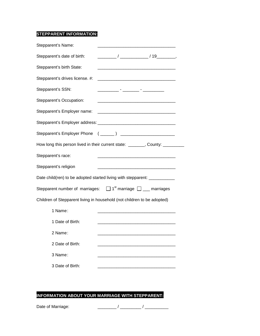## **STEPPARENT INFORMATION:**

| Stepparent's Name:                                                               |                                                                                                                       |  |
|----------------------------------------------------------------------------------|-----------------------------------------------------------------------------------------------------------------------|--|
| Stepparent's date of birth:                                                      |                                                                                                                       |  |
| Stepparent's birth State:                                                        | <u> 1980 - Johann Barn, mars ann an t-Amhain an t-Amhain an t-Amhain an t-Amhain an t-Amhain an t-Amhain an t-Amh</u> |  |
| Stepparent's drives license. #:                                                  |                                                                                                                       |  |
| Stepparent's SSN:                                                                |                                                                                                                       |  |
| Stepparent's Occupation:                                                         | <u> 1980 - Johann Barbara, martin amerikan basar dan berasal dalam basa dalam basar dalam basar dalam basa dalam</u>  |  |
| Stepparent's Employer name:                                                      |                                                                                                                       |  |
|                                                                                  |                                                                                                                       |  |
|                                                                                  |                                                                                                                       |  |
| How long this person lived in their current state: _______, County: _________    |                                                                                                                       |  |
| Stepparent's race:                                                               |                                                                                                                       |  |
| Stepparent's religion                                                            |                                                                                                                       |  |
| Date child(ren) to be adopted started living with stepparent: ___________        |                                                                                                                       |  |
| Stepparent number of marriages: $\Box$ 1 <sup>st</sup> marriage $\Box$ marriages |                                                                                                                       |  |
| Children of Stepparent living in household (not children to be adopted)          |                                                                                                                       |  |
| 1 Name:                                                                          |                                                                                                                       |  |
| 1 Date of Birth:                                                                 |                                                                                                                       |  |
| 2 Name:                                                                          |                                                                                                                       |  |
| 2 Date of Birth:                                                                 |                                                                                                                       |  |
| 3 Name:                                                                          |                                                                                                                       |  |
| 3 Date of Birth:                                                                 |                                                                                                                       |  |
|                                                                                  |                                                                                                                       |  |

## **INFORMATION ABOUT YOUR MARRIAGE WITH STEPPARENT:**

Date of Marriage: \_\_\_\_\_\_\_\_ / \_\_\_\_\_\_\_\_\_ / \_\_\_\_\_\_\_\_\_\_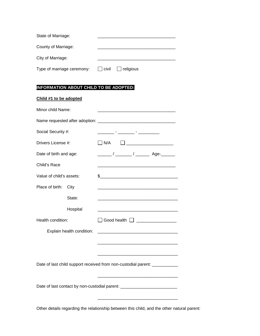| State of Marriage:         |              |                  |  |
|----------------------------|--------------|------------------|--|
|                            |              |                  |  |
| County of Marriage:        |              |                  |  |
| City of Marriage:          |              |                  |  |
| Type of marriage ceremony: | $\Box$ civil | $\Box$ religious |  |

## **INFORMATION ABOUT CHILD TO BE ADOPTED:**

| Child #1 to be adopted   |                           |                                                                                                                      |
|--------------------------|---------------------------|----------------------------------------------------------------------------------------------------------------------|
| Minor child Name:        |                           | <u> 1980 - Jan James James Barnett, fransk politik (d. 1980)</u>                                                     |
|                          |                           |                                                                                                                      |
| Social Security #:       |                           | <u> 1990 - Jan Harrison, fisikan menjadi per</u>                                                                     |
| Drivers License #:       |                           | $\neg$ N/A<br>$\Box$ . The contract of the contract of $\Box$                                                        |
| Date of birth and age:   |                           |                                                                                                                      |
| Child's Race             |                           | <u> 1980 - Johann Barbara, martxa alemaniar argumento de la contrada de la contrada de la contrada de la contrad</u> |
| Value of child's assets: |                           |                                                                                                                      |
| Place of birth:          | City                      |                                                                                                                      |
|                          | State:                    |                                                                                                                      |
|                          | Hospital                  |                                                                                                                      |
| Health condition:        |                           | $\Box$ Good health $\Box$ __________________                                                                         |
|                          | Explain health condition: | <u> 1980 - Jan James James Barnett, fransk politik (d. 1980)</u>                                                     |
|                          |                           |                                                                                                                      |
|                          |                           |                                                                                                                      |
|                          |                           | Date of last child support received from non-custodial parent: ___________                                           |
|                          |                           |                                                                                                                      |
|                          |                           | Date of last contact by non-custodial parent: __________________________________                                     |
|                          |                           |                                                                                                                      |
|                          |                           | Other details regarding the relationship between this child, and the other natural parent:                           |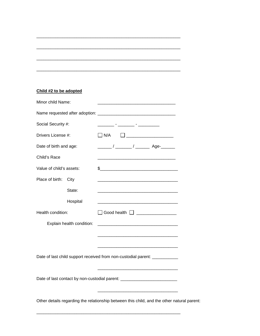## **Child #2 to be adopted**

| Minor child Name:                                                                          |                                                                             | <u> 1989 - Johann Barbara, martin amerikan basar dan bagi dan basar dalam basar dalam basar dalam basar dalam basa</u>                                                                                                                                                                                                                                                                                                          |  |  |
|--------------------------------------------------------------------------------------------|-----------------------------------------------------------------------------|---------------------------------------------------------------------------------------------------------------------------------------------------------------------------------------------------------------------------------------------------------------------------------------------------------------------------------------------------------------------------------------------------------------------------------|--|--|
|                                                                                            |                                                                             |                                                                                                                                                                                                                                                                                                                                                                                                                                 |  |  |
| Social Security #:                                                                         |                                                                             |                                                                                                                                                                                                                                                                                                                                                                                                                                 |  |  |
| Drivers License #:                                                                         |                                                                             | $\begin{tabular}{ c c c c c } \hline \quad \quad & \quad \quad & \quad \quad & \quad \quad \\ \hline \quad \quad & \quad \quad & \quad \quad & \quad \quad \\ \hline \end{tabular}$<br>$\Box$ N/A                                                                                                                                                                                                                               |  |  |
| Date of birth and age:                                                                     |                                                                             | $\frac{1}{\sqrt{1-\frac{1}{2}}}\frac{1}{\sqrt{1-\frac{1}{2}}}\frac{1}{\sqrt{1-\frac{1}{2}}}\frac{1}{\sqrt{1-\frac{1}{2}}}\frac{1}{\sqrt{1-\frac{1}{2}}}\frac{1}{\sqrt{1-\frac{1}{2}}}\frac{1}{\sqrt{1-\frac{1}{2}}}\frac{1}{\sqrt{1-\frac{1}{2}}}\frac{1}{\sqrt{1-\frac{1}{2}}}\frac{1}{\sqrt{1-\frac{1}{2}}}\frac{1}{\sqrt{1-\frac{1}{2}}}\frac{1}{\sqrt{1-\frac{1}{2}}}\frac{1}{\sqrt{1-\frac{1}{2}}}\frac{1}{\sqrt{1-\frac{$ |  |  |
| Child's Race                                                                               |                                                                             |                                                                                                                                                                                                                                                                                                                                                                                                                                 |  |  |
| Value of child's assets:                                                                   |                                                                             | $\frac{1}{2}$                                                                                                                                                                                                                                                                                                                                                                                                                   |  |  |
| Place of birth:                                                                            | City                                                                        |                                                                                                                                                                                                                                                                                                                                                                                                                                 |  |  |
|                                                                                            | State:                                                                      |                                                                                                                                                                                                                                                                                                                                                                                                                                 |  |  |
|                                                                                            | Hospital                                                                    |                                                                                                                                                                                                                                                                                                                                                                                                                                 |  |  |
| Health condition:                                                                          |                                                                             | □ Good health □ <u>______________</u>                                                                                                                                                                                                                                                                                                                                                                                           |  |  |
|                                                                                            | Explain health condition:                                                   |                                                                                                                                                                                                                                                                                                                                                                                                                                 |  |  |
|                                                                                            |                                                                             |                                                                                                                                                                                                                                                                                                                                                                                                                                 |  |  |
|                                                                                            |                                                                             |                                                                                                                                                                                                                                                                                                                                                                                                                                 |  |  |
|                                                                                            | Date of last child support received from non-custodial parent: ____________ |                                                                                                                                                                                                                                                                                                                                                                                                                                 |  |  |
|                                                                                            |                                                                             |                                                                                                                                                                                                                                                                                                                                                                                                                                 |  |  |
| Date of last contact by non-custodial parent: __________________________________           |                                                                             |                                                                                                                                                                                                                                                                                                                                                                                                                                 |  |  |
|                                                                                            |                                                                             |                                                                                                                                                                                                                                                                                                                                                                                                                                 |  |  |
| Other details regarding the relationship between this child, and the other natural parent: |                                                                             |                                                                                                                                                                                                                                                                                                                                                                                                                                 |  |  |
|                                                                                            |                                                                             |                                                                                                                                                                                                                                                                                                                                                                                                                                 |  |  |

\_\_\_\_\_\_\_\_\_\_\_\_\_\_\_\_\_\_\_\_\_\_\_\_\_\_\_\_\_\_\_\_\_\_\_\_\_\_\_\_\_\_\_\_\_\_\_\_\_\_\_\_\_\_\_\_\_\_\_\_\_

\_\_\_\_\_\_\_\_\_\_\_\_\_\_\_\_\_\_\_\_\_\_\_\_\_\_\_\_\_\_\_\_\_\_\_\_\_\_\_\_\_\_\_\_\_\_\_\_\_\_\_\_\_\_\_\_\_\_\_\_\_

\_\_\_\_\_\_\_\_\_\_\_\_\_\_\_\_\_\_\_\_\_\_\_\_\_\_\_\_\_\_\_\_\_\_\_\_\_\_\_\_\_\_\_\_\_\_\_\_\_\_\_\_\_\_\_\_\_\_\_\_\_

\_\_\_\_\_\_\_\_\_\_\_\_\_\_\_\_\_\_\_\_\_\_\_\_\_\_\_\_\_\_\_\_\_\_\_\_\_\_\_\_\_\_\_\_\_\_\_\_\_\_\_\_\_\_\_\_\_\_\_\_\_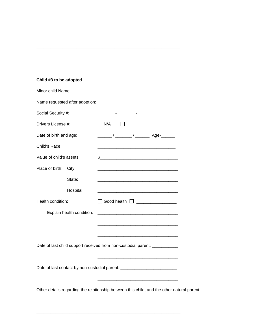## **Child #3 to be adopted**

| Minor child Name:        |                           | <u> 1989 - Johann Barn, mars an t-Amerikaansk politiker (</u>                                                        |  |
|--------------------------|---------------------------|----------------------------------------------------------------------------------------------------------------------|--|
|                          |                           |                                                                                                                      |  |
| Social Security #:       |                           |                                                                                                                      |  |
| Drivers License #:       |                           | $\Box$ N/A                                                                                                           |  |
| Date of birth and age:   |                           |                                                                                                                      |  |
| Child's Race             |                           |                                                                                                                      |  |
| Value of child's assets: |                           |                                                                                                                      |  |
| Place of birth:          | City                      |                                                                                                                      |  |
|                          | State:                    |                                                                                                                      |  |
|                          | Hospital                  |                                                                                                                      |  |
| Health condition:        |                           | $\Box$ Good health $\Box$ ___________________                                                                        |  |
|                          | Explain health condition: | <u> 1980 - Jan James James Barnett, amerikan bizko bat da bat da bat da bat da bat da bat da bat da bat da bat d</u> |  |
|                          |                           |                                                                                                                      |  |
|                          |                           |                                                                                                                      |  |
|                          |                           | Date of last child support received from non-custodial parent: ____________                                          |  |
|                          |                           | <u> 1989 - Johann Barbara, martxa alemaniar argumento de la contrada de la contrada de la contrada de la contrad</u> |  |
|                          |                           | Date of last contact by non-custodial parent: __________________________________                                     |  |
|                          |                           |                                                                                                                      |  |
|                          |                           | Other details regarding the relationship between this child, and the other natural parent:                           |  |
|                          |                           |                                                                                                                      |  |

\_\_\_\_\_\_\_\_\_\_\_\_\_\_\_\_\_\_\_\_\_\_\_\_\_\_\_\_\_\_\_\_\_\_\_\_\_\_\_\_\_\_\_\_\_\_\_\_\_\_\_\_\_\_\_\_\_\_\_\_\_

\_\_\_\_\_\_\_\_\_\_\_\_\_\_\_\_\_\_\_\_\_\_\_\_\_\_\_\_\_\_\_\_\_\_\_\_\_\_\_\_\_\_\_\_\_\_\_\_\_\_\_\_\_\_\_\_\_\_\_\_\_

\_\_\_\_\_\_\_\_\_\_\_\_\_\_\_\_\_\_\_\_\_\_\_\_\_\_\_\_\_\_\_\_\_\_\_\_\_\_\_\_\_\_\_\_\_\_\_\_\_\_\_\_\_\_\_\_\_\_\_\_\_

\_\_\_\_\_\_\_\_\_\_\_\_\_\_\_\_\_\_\_\_\_\_\_\_\_\_\_\_\_\_\_\_\_\_\_\_\_\_\_\_\_\_\_\_\_\_\_\_\_\_\_\_\_\_\_\_\_\_\_\_\_